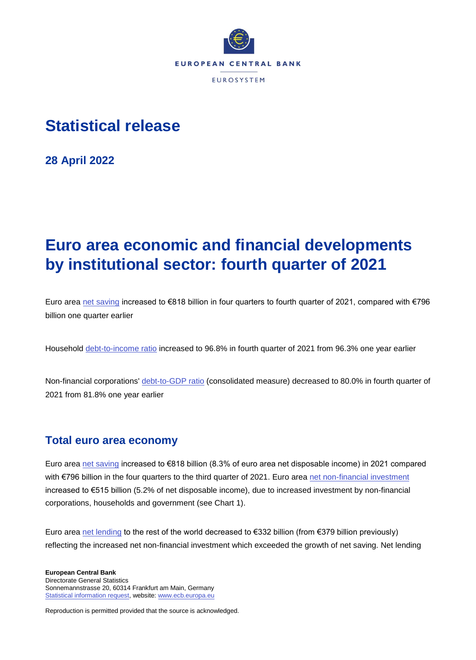

# **Statistical release**

**28 April 2022**

# **Euro area economic and financial developments by institutional sector: fourth quarter of 2021**

Euro area [net saving](https://sdw.ecb.europa.eu/quickview.do?SERIES_KEY=332.QSA.Q.N.I8.W0.S1.S1._Z.B.B8N._Z._Z._Z.XDC._T.S.V.C4._T) increased to €818 billion in four quarters to fourth quarter of 2021, compared with €796 billion one quarter earlier

Household [debt-to-income ratio](https://sdw.ecb.europa.eu/quickview.do?SERIES_KEY=332.QSA.Q.N.I8.W0.S1M.S1.N.L.LE.F4.T._Z.XDC_R_B6GA_CY._T.S.V.N._T) increased to 96.8% in fourth quarter of 2021 from 96.3% one year earlier

Non-financial corporations' [debt-to-GDP ratio](https://sdw.ecb.europa.eu/quickview.do?SERIES_KEY=332.QSA.Q.N.I8.W0.S11.S1.C.L.LE.F3T4.T._Z.XDC_R_B1GQ_CY._T.S.V.N._T) (consolidated measure) decreased to 80.0% in fourth quarter of 2021 from 81.8% one year earlier

### **Total euro area economy**

Euro area [net saving](https://sdw.ecb.europa.eu/quickview.do?SERIES_KEY=332.QSA.Q.N.I8.W0.S1.S1._Z.B.B8N._Z._Z._Z.XDC._T.S.V.C4._T) increased to €818 billion (8.3% of euro area net disposable income) in 2021 compared with €796 billion in the four quarters to the third quarter of 2021. Euro area [net non-financial investment](https://sdw.ecb.europa.eu/quickview.do?SERIES_KEY=332.QSA.Q.N.I8.W0.S1.S1.N.D.P5LN._Z._Z._Z.XDC._T.S.V.C4._T) increased to €515 billion (5.2% of net disposable income), due to increased investment by non-financial corporations, households and government (see Chart 1).

Euro area [net lending](http://sdw.ecb.europa.eu/quickview.do?SERIES_KEY=332.QSA.Q.N.I8.W0.S1.S1._Z.B.B9._Z._Z._Z.XDC._T.S.V.N._T) to the rest of the world decreased to €332 billion (from €379 billion previously) reflecting the increased net non-financial investment which exceeded the growth of net saving. Net lending

**European Central Bank** Directorate General Statistics Sonnemannstrasse 20, 60314 Frankfurt am Main, Germany [Statistical information request,](https://ecb-registration.escb.eu/statistical-information) website[: www.ecb.europa.eu](http://www.ecb.europa.eu/)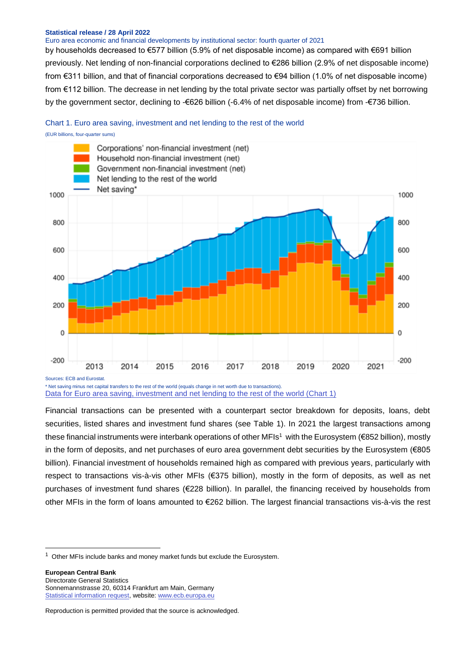#### Euro area economic and financial developments by institutional sector: fourth quarter of 2021

by households decreased to €577 billion (5.9% of net disposable income) as compared with €691 billion previously. Net lending of non-financial corporations declined to €286 billion (2.9% of net disposable income) from €311 billion, and that of financial corporations decreased to €94 billion (1.0% of net disposable income) from €112 billion. The decrease in net lending by the total private sector was partially offset by net borrowing by the government sector, declining to -€626 billion (-6.4% of net disposable income) from -€736 billion.

### Chart 1. Euro area saving, investment and net lending to the rest of the world

(EUR billions, four-quarter sums)



\* Net saving minus net capital transfers to the rest of the world (equals change in net worth due to transactions). [Data for Euro area saving, investment and net lending to the rest of the world \(Chart 1\)](https://sdw.ecb.europa.eu/browseSelection.do?type=series&q=QSA.Q.N.I8.W0.S1K.S1.N.D.P5LN._Z._Z._Z.XDC._T.S.V.C4._T+QSA.Q.N.I8.W0.S1M.S1.N.D.P5LN._Z._Z._Z.XDC._T.S.V.C4._T+QSA.Q.N.I8.W0.S13.S1.N.D.P5LN._Z._Z._T.XDC._T.S.V.C4._T+QSA.Q.N.I8.W0.S1.S1._Z.B.B9._Z._Z._Z.XDC._T.S.V.C4._T+QSA.Q.N.I8.W0.S1.S1._Z.B.B8N._Z._Z._Z.XDC._T.S.V.C4._T&node=SEARCHRESULTS)

Financial transactions can be presented with a counterpart sector breakdown for deposits, loans, debt securities, listed shares and investment fund shares (see Table 1). In 2021 the largest transactions among these financial instruments were interbank operations of other MFIs<sup>1</sup> with the Eurosystem (€852 billion), mostly in the form of deposits, and net purchases of euro area government debt securities by the Eurosystem (€805 billion). Financial investment of households remained high as compared with previous years, particularly with respect to transactions vis-à-vis other MFIs (€375 billion), mostly in the form of deposits, as well as net purchases of investment fund shares (€228 billion). In parallel, the financing received by households from other MFIs in the form of loans amounted to €262 billion. The largest financial transactions vis-à-vis the rest

**European Central Bank** Directorate General Statistics Sonnemannstrasse 20, 60314 Frankfurt am Main, Germany [Statistical information request,](https://ecb-registration.escb.eu/statistical-information) website[: www.ecb.europa.eu](http://www.ecb.europa.eu/)

-

 $1$  Other MFIs include banks and money market funds but exclude the Eurosystem.

Reproduction is permitted provided that the source is acknowledged.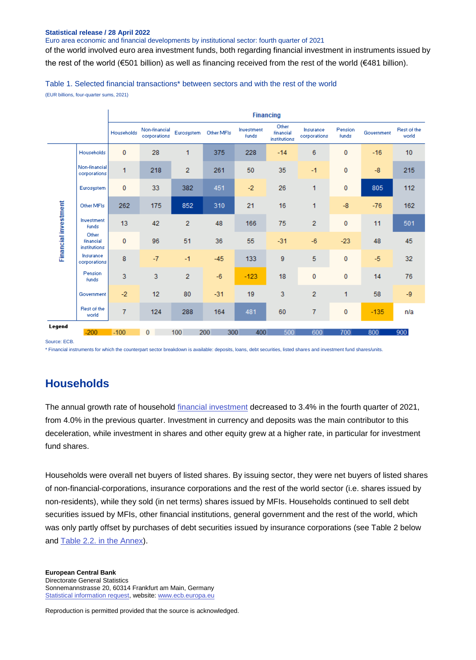Euro area economic and financial developments by institutional sector: fourth quarter of 2021

of the world involved euro area investment funds, both regarding financial investment in instruments issued by the rest of the world (€501 billion) as well as financing received from the rest of the world (€481 billion).

Table 1. Selected financial transactions\* between sectors and with the rest of the world

(EUR billions, four-quarter sums, 2021)

|                             |                                    | <b>Financing</b> |                               |                |            |                     |                                    |                           |                         |            |                      |  |  |  |
|-----------------------------|------------------------------------|------------------|-------------------------------|----------------|------------|---------------------|------------------------------------|---------------------------|-------------------------|------------|----------------------|--|--|--|
|                             |                                    | Households       | Non-financial<br>corporations | Eurosystem     | Other MFIs | Investment<br>funds | Other<br>financial<br>institutions | Insurance<br>corporations | Pension<br><b>Funds</b> | Government | Rest of the<br>world |  |  |  |
|                             | Households                         | $\pmb{0}$        | 28                            | 1              | 375        | 228                 | $-14$                              | 6                         | 0                       | $-16$      | 10                   |  |  |  |
|                             | Non-financial<br>corporations      | 1                | 218                           | $\overline{2}$ | 261        | 50                  | 35                                 | $-1$                      | 0                       | $-8$       | 215                  |  |  |  |
|                             | Eurosystem                         | $\mathbf{0}$     | 33                            | 382            | 451        | $-2$                | 26                                 | 1                         | 0                       | 805        | 112                  |  |  |  |
|                             | Other MFIs                         | 262              | 175                           | 852            | 310        | 21                  | 16                                 | 1                         | $-8$                    | $-76$      | 162                  |  |  |  |
|                             | Investment<br><b>funds</b>         | 13               | 42                            | $\overline{2}$ | 48         | 166                 | 75                                 | $\overline{2}$            | 0                       | 11         | 501                  |  |  |  |
| <b>Financial investment</b> | Other<br>financial<br>institutions | $\mathbf{0}$     | 96                            | 51             | 36         | 55                  | $-31$                              | $-6$                      | $-23$                   | 48         | 45                   |  |  |  |
|                             | Insurance<br>corporations          | 8                | $-7$                          | $-1$           | $-45$      | 133                 | 9                                  | 5                         | 0                       | $-5$       | 32                   |  |  |  |
|                             | Pension<br><b>Funds</b>            | 3                | 3                             | $\overline{2}$ | $-6$       | $-123$              | 18                                 | $\mathbf 0$               | 0                       | 14         | 76                   |  |  |  |
|                             | Government                         | $-2$             | 12                            | 80             | $-31$      | 19                  | 3                                  | $\overline{2}$            | 1                       | 58         | $-9$                 |  |  |  |
|                             | Rest of the<br>world               | $\overline{7}$   | 124                           | 288            | 164        | 481                 | 60                                 | 7                         | 0                       | $-135$     | n/a                  |  |  |  |
| Legend                      | $-200$                             | $-100$           | n                             | 100            | 200<br>300 | 400                 | 500                                | 600                       | 700                     | 800        | 900                  |  |  |  |

Source: ECB.

\* Financial instruments for which the counterpart sector breakdown is available: deposits, loans, debt securities, listed shares and investment fund shares/units.

### **Households**

The annual growth rate of household [financial investment](http://sdw.ecb.europa.eu/browseTable.do?dc=&type=series&cv=&ec=&rc=&node=SEARCHRESULTS&oc=&df=&q=QSA.Q.N.I8.W0.S1M.S1.N.A.F.F._Z._Z.XDC._T.S.V.N._T%20QSA.Q.N.I8.W0.S1M.S1.N.A.LE.F._Z._Z.XDC._T.S.V.N._T&pb=&SERIES_KEY=332.QSA.Q.N.I8.W0.S1M.S1.N.A.F.F._Z._Z.XDC._T.S.V.N._T&SERIES_KEY=332.QSA.Q.N.I8.W0.S1M.S1.N.A.LE.F._Z._Z.XDC._T.S.V.N._T) decreased to 3.4% in the fourth quarter of 2021, from 4.0% in the previous quarter. Investment in currency and deposits was the main contributor to this deceleration, while investment in shares and other equity grew at a higher rate, in particular for investment fund shares.

Households were overall net buyers of listed shares. By issuing sector, they were net buyers of listed shares of non-financial-corporations, insurance corporations and the rest of the world sector (i.e. shares issued by non-residents), while they sold (in net terms) shares issued by MFIs. Households continued to sell debt securities issued by MFIs, other financial institutions, general government and the rest of the world, which was only partly offset by purchases of debt securities issued by insurance corporations (see Table 2 below and [Table 2.2. in the Annex\)](http://sdw.ecb.europa.eu/web/generator/prl/pr_qsa_0201_2019q4.pdf).

**European Central Bank** Directorate General Statistics Sonnemannstrasse 20, 60314 Frankfurt am Main, Germany [Statistical information request,](https://ecb-registration.escb.eu/statistical-information) website[: www.ecb.europa.eu](http://www.ecb.europa.eu/)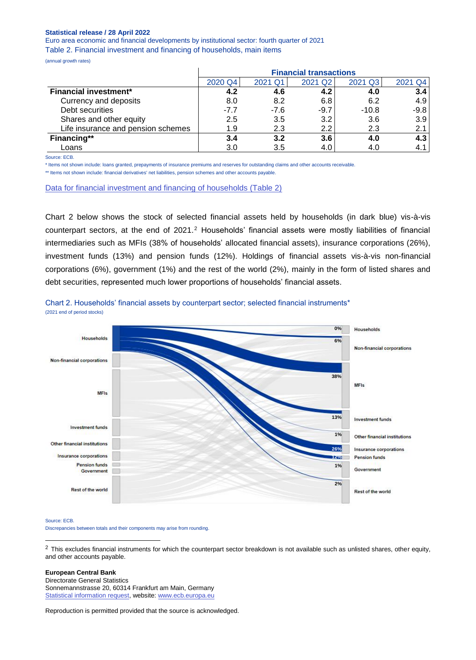Euro area economic and financial developments by institutional sector: fourth quarter of 2021 Table 2. Financial investment and financing of households, main items

(annual growth rates)

|                                    | <b>Financial transactions</b> |         |         |         |         |  |  |  |  |  |  |
|------------------------------------|-------------------------------|---------|---------|---------|---------|--|--|--|--|--|--|
|                                    | 2020 Q4                       | 2021 Q1 | 2021 Q2 | 2021 Q3 | 2021 Q4 |  |  |  |  |  |  |
| <b>Financial investment*</b>       | 4.2                           | 4.6     | 4.2     | 4.0     | 3.4     |  |  |  |  |  |  |
| Currency and deposits              | 8.0                           | 8.2     | 6.8     | 6.2     | 4.9     |  |  |  |  |  |  |
| Debt securities                    | $-7.7$                        | $-7.6$  | $-9.7$  | $-10.8$ | $-9.8$  |  |  |  |  |  |  |
| Shares and other equity            | 2.5                           | 3.5     | 3.2     | 3.6     | 3.9     |  |  |  |  |  |  |
| Life insurance and pension schemes | 1.9                           | 2.3     | 2.2     | 2.3     | 2.1     |  |  |  |  |  |  |
| Financing**                        | 3.4                           | 3.2     | 3.6     | 4.0     | 4.3     |  |  |  |  |  |  |
| Loans                              | 3.0                           | 3.5     | 4.0     | 4.0     | 4.1     |  |  |  |  |  |  |

Source: ECB.

\* Items not shown include: loans granted, prepayments of insurance premiums and reserves for outstanding claims and other accounts receivable.

\*\* Items not shown include: financial derivatives' net liabilities, pension schemes and other accounts payable.

[Data for financial investment and financing of households \(Table 2\)](https://sdw.ecb.europa.eu/browseSelection.do?type=series&q=QSA.Q.N.I8.W0.S1M.S1.N.A.F.F._Z._Z.XDC._T.S.V.F4._T+QSA.Q.N.I8.W0.S1M.S1.N.L.F.F._Z._Z.XDC._T.S.V.F4._T+QSA.Q.N.I8.W0.S1M.S1.N.A.F.F2.T._Z.XDC._T.S.V.F4._T+QSA.Q.N.I8.W0.S1M.S1.N.A.F.F3.T._Z.XDC._T.S.V.F4._T+QSA.Q.N.I8.W0.S1M.S1.N.A.F.F5._Z._Z.XDC._T.S.V.F4._T+QSA.Q.N.I8.W0.S1M.S1.N.A.F.F6N._Z._Z.XDC._T.S.V.F4._T+QSA.Q.N.I8.W0.S1M.S1.N.L.F.F4.T._Z.XDC._T.S.V.F4._T&node=SEARCHRESULTS)

Chart 2 below shows the stock of selected financial assets held by households (in dark blue) vis-à-vis counterpart sectors, at the end of 2021. <sup>2</sup> Households' financial assets were mostly liabilities of financial intermediaries such as MFIs (38% of households' allocated financial assets), insurance corporations (26%), investment funds (13%) and pension funds (12%). Holdings of financial assets vis-à-vis non-financial corporations (6%), government (1%) and the rest of the world (2%), mainly in the form of listed shares and debt securities, represented much lower proportions of households' financial assets.



Chart 2. Households' financial assets by counterpart sector; selected financial instruments\* (2021 end of period stocks)

#### Source: ECB.

-

Discrepancies between totals and their components may arise from rounding.

 $2$  This excludes financial instruments for which the counterpart sector breakdown is not available such as unlisted shares, other equity, and other accounts payable.

#### **European Central Bank**

Directorate General Statistics Sonnemannstrasse 20, 60314 Frankfurt am Main, Germany [Statistical information request,](https://ecb-registration.escb.eu/statistical-information) website[: www.ecb.europa.eu](http://www.ecb.europa.eu/)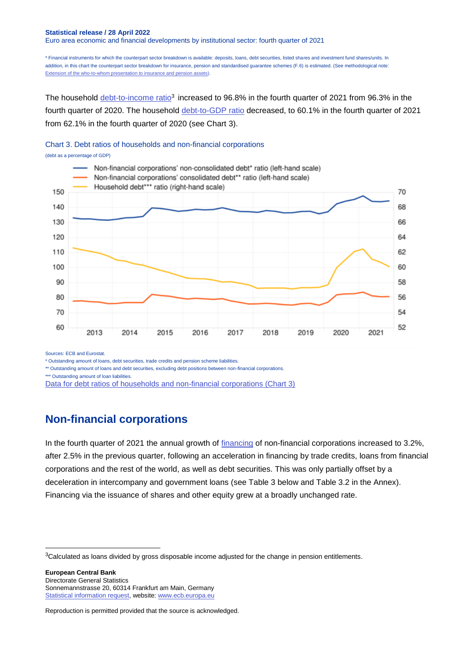#### **Statistical release / 28 April 2022** Euro area economic and financial developments by institutional sector: fourth quarter of 2021

\* Financial instruments for which the counterpart sector breakdown is available: deposits, loans, debt securities, listed shares and investment fund shares/units. In addition, in this chart the counterpart sector breakdown for insurance, pension and standardised guarantee schemes (F.6) is estimated. (See methodological note: [Extension of the who-to-whom presentation to insurance and pension assets\).](https://darwin.escb.eu/livelink/livelink/overview/323389830)

The household [debt-to-income ratio](https://sdw.ecb.europa.eu/quickview.do?SERIES_KEY=332.QSA.Q.N.I8.W0.S1M.S1.N.L.LE.F4.T._Z.XDC_R_B6GA_CY._T.S.V.N._T)<sup>3</sup> increased to 96.8% in the fourth quarter of 2021 from 96.3% in the fourth quarter of 2020. The household [debt-to-GDP ratio](https://sdw.ecb.europa.eu/quickview.do?SERIES_KEY=332.QSA.Q.N.I8.W0.S1M.S1.N.L.LE.F4.T._Z.XDC_R_B1GQ_CY._T.S.V.N._T) decreased, to 60.1% in the fourth quarter of 2021 from 62.1% in the fourth quarter of 2020 (see Chart 3).

#### Chart 3. Debt ratios of households and non-financial corporations





Sources: ECB and Eurostat.

-

\* Outstanding amount of loans, debt securities, trade credits and pension scheme liabilities.

\*\* Outstanding amount of loans and debt securities, excluding debt positions between non-financial corporations.

\*\*\* Outstanding amount of loan liabilities.

[Data for debt ratios of households and non-financial corporations \(Chart 3\)](https://sdw.ecb.europa.eu/browseSelection.do?type=series&q=QSA.Q.N.I8.W0.S11.S1.N.L.LE.FPT.T._Z.XDC_R_B1GQ_CY._T.S.V.N._T+QSA.Q.N.I8.W0.S11.S1.C.L.LE.F3T4.T._Z.XDC_R_B1GQ_CY._T.S.V.N._T+QSA.Q.N.I8.W0.S1M.S1.N.L.LE.F4.T._Z.XDC_R_B1GQ_CY._T.S.V.N._T&node=SEARCHRESULTS)

### **Non-financial corporations**

In the fourth quarter of 2021 the annual growth of [financing](http://sdw.ecb.europa.eu/quickview.do?SERIES_KEY=332.QSA.Q.N.I8.W0.S11.S1.N.L.F.F._Z._Z.XDC._T.S.V.N._T) of non-financial corporations increased to 3.2%, after 2.5% in the previous quarter, following an acceleration in financing by trade credits, loans from financial corporations and the rest of the world, as well as debt securities. This was only partially offset by a deceleration in intercompany and government loans (see Table 3 below and Table 3.2 in the Annex). Financing via the issuance of shares and other equity grew at a broadly unchanged rate.

**European Central Bank** Directorate General Statistics Sonnemannstrasse 20, 60314 Frankfurt am Main, Germany [Statistical information request,](https://ecb-registration.escb.eu/statistical-information) website[: www.ecb.europa.eu](http://www.ecb.europa.eu/)

<sup>&</sup>lt;sup>3</sup>Calculated as loans divided by gross disposable income adjusted for the change in pension entitlements.

Reproduction is permitted provided that the source is acknowledged.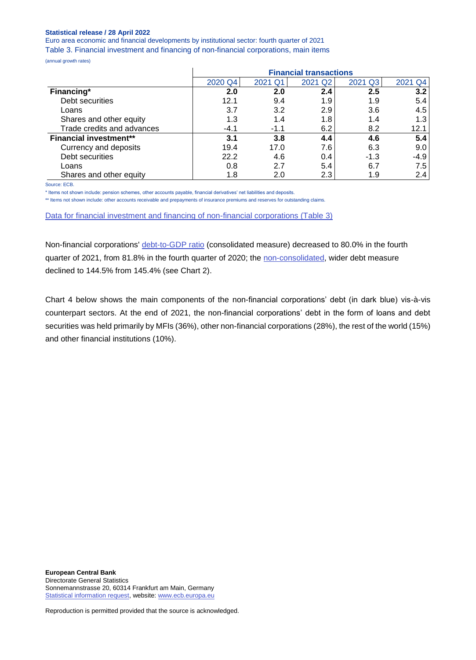Euro area economic and financial developments by institutional sector: fourth quarter of 2021 Table 3. Financial investment and financing of non-financial corporations, main items

(annual growth rates)

|                               |         |         | <b>Financial transactions</b> |         |            |
|-------------------------------|---------|---------|-------------------------------|---------|------------|
|                               | 2020 Q4 | 2021 Q1 | 2021 Q <sub>2</sub>           | 2021 Q3 | 2021<br>Q4 |
| Financing*                    | 2.0     | 2.0     | 2.4                           | 2.5     | 3.2        |
| Debt securities               | 12.1    | 9.4     | 1.9                           | 1.9     | 5.4        |
| Loans                         | 3.7     | 3.2     | 2.9                           | 3.6     | 4.5        |
| Shares and other equity       | 1.3     | 1.4     | 1.8                           | 1.4     | 1.3        |
| Trade credits and advances    | $-4.1$  | $-1.1$  | 6.2                           | 8.2     | 12.1       |
| <b>Financial investment**</b> | 3.1     | 3.8     | 4.4                           | 4.6     | 5.4        |
| Currency and deposits         | 19.4    | 17.0    | 7.6                           | 6.3     | 9.0        |
| Debt securities               | 22.2    | 4.6     | 0.4                           | $-1.3$  | $-4.9$     |
| Loans                         | 0.8     | 2.7     | 5.4                           | 6.7     | 7.5        |
| Shares and other equity       | 1.8     | 2.0     | 2.3                           | 1.9     | 2.4        |

Source: ECB.

\* Items not shown include: pension schemes, other accounts payable, financial derivatives' net liabilities and deposits.

\*\* Items not shown include: other accounts receivable and prepayments of insurance premiums and reserves for outstanding claims.

[Data for financial investment and financing of non-financial corporations \(Table](https://sdw.ecb.europa.eu/browseSelection.do?type=series&q=QSA.Q.N.I8.W0.S11.S1.N.L.F.F._Z._Z.XDC._T.S.V.F4._T+QSA.Q.N.I8.W0.S11.S1.N.L.F.F3.T._Z.XDC._T.S.V.F4._T+QSA.Q.N.I8.W0.S11.S1.N.L.F.F4.T._Z.XDC._T.S.V.F4._T+QSA.Q.N.I8.W0.S11.S1.N.L.F.F5._Z._Z.XDC._T.S.V.F4._T+QSA.Q.N.I8.W0.S11.S1.N.L.F.F81.T._Z.XDC._T.S.V.F4._T+QSA.Q.N.I8.W0.S11.S1.N.A.F.F._Z._Z.XDC._T.S.V.F4._T+QSA.Q.N.I8.W0.S11.S1.N.A.F.F2.T._Z.XDC._T.S.V.F4._T+QSA.Q.N.I8.W0.S11.S1.N.A.F.F3.T._Z.XDC._T.S.V.F4._T+QSA.Q.N.I8.W0.S11.S1.N.A.F.F4.T._Z.XDC._T.S.V.F4._T+QSA.Q.N.I8.W0.S11.S1.N.A.F.F5._Z._Z.XDC._T.S.V.F4._T&node=SEARCHRESULTS) 3)

Non-financial corporations' [debt-to-GDP ratio](https://sdw.ecb.europa.eu/quickview.do?SERIES_KEY=332.QSA.Q.N.I8.W0.S11.S1.C.L.LE.F3T4.T._Z.XDC_R_B1GQ_CY._T.S.V.N._T) (consolidated measure) decreased to 80.0% in the fourth quarter of 2021, from 81.8% in the fourth quarter of 2020; the [non-consolidated,](https://sdw.ecb.europa.eu/quickview.do?SERIES_KEY=332.QSA.Q.N.I8.W0.S11.S1.N.L.LE.FPT.T._Z.XDC_R_B1GQ_CY._T.S.V.N._T) wider debt measure declined to 144.5% from 145.4% (see Chart 2).

Chart 4 below shows the main components of the non-financial corporations' debt (in dark blue) vis-à-vis counterpart sectors. At the end of 2021, the non-financial corporations' debt in the form of loans and debt securities was held primarily by MFIs (36%), other non-financial corporations (28%), the rest of the world (15%) and other financial institutions (10%).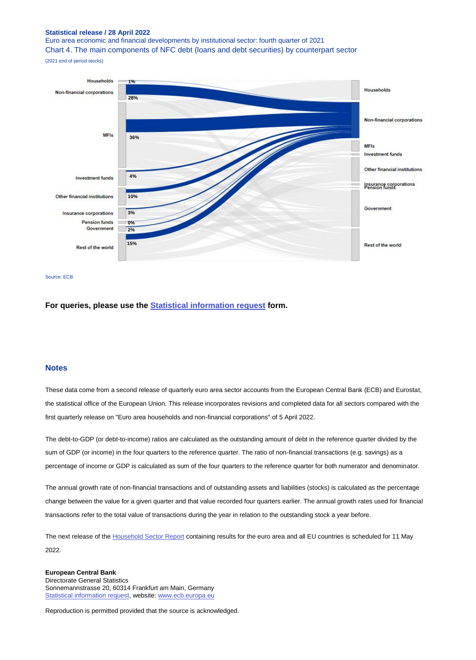Euro area economic and financial developments by institutional sector: fourth quarter of 2021 Chart 4. The main components of NFC debt (loans and debt securities) by counterpart sector

(2021 end of period stocks)



#### Source: ECB.

**For queries, please use the [Statistical information request](https://ecb-registration.escb.eu/statistical-information) form.**

#### **Notes**

These data come from a second release of quarterly euro area sector accounts from the European Central Bank (ECB) and Eurostat, the statistical office of the European Union. This release incorporates revisions and completed data for all sectors compared with the first quarterly release on "Euro area households and non-financial corporations" of 5 April 2022.

The debt-to-GDP (or debt-to-income) ratios are calculated as the outstanding amount of debt in the reference quarter divided by the sum of GDP (or income) in the four quarters to the reference quarter. The ratio of non-financial transactions (e.g. savings) as a percentage of income or GDP is calculated as sum of the four quarters to the reference quarter for both numerator and denominator.

The annual growth rate of non-financial transactions and of outstanding assets and liabilities (stocks) is calculated as the percentage change between the value for a given quarter and that value recorded four quarters earlier. The annual growth rates used for financial transactions refer to the total value of transactions during the year in relation to the outstanding stock a year before.

The next release of th[e Household Sector Report](http://sdw.ecb.europa.eu/reports.do?node=1000004952) containing results for the euro area and all EU countries is scheduled for 11 May 2022.

#### **European Central Bank** Directorate General Statistics Sonnemannstrasse 20, 60314 Frankfurt am Main, Germany [Statistical information request,](https://ecb-registration.escb.eu/statistical-information) website[: www.ecb.europa.eu](http://www.ecb.europa.eu/)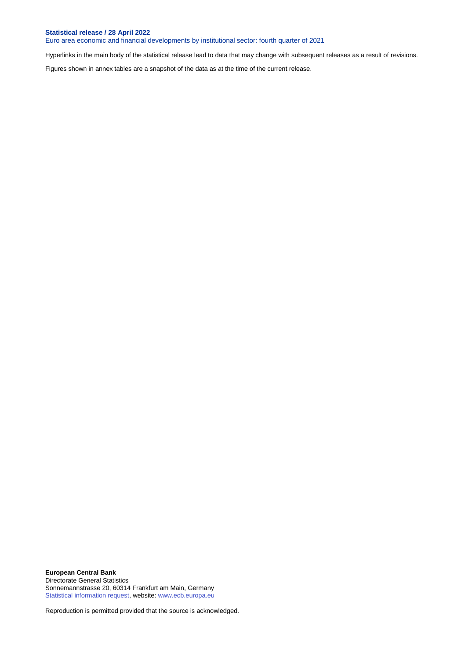Euro area economic and financial developments by institutional sector: fourth quarter of 2021

Hyperlinks in the main body of the statistical release lead to data that may change with subsequent releases as a result of revisions.

Figures shown in annex tables are a snapshot of the data as at the time of the current release.

**European Central Bank** Directorate General Statistics Sonnemannstrasse 20, 60314 Frankfurt am Main, Germany [Statistical information request,](https://ecb-registration.escb.eu/statistical-information) website[: www.ecb.europa.eu](http://www.ecb.europa.eu/)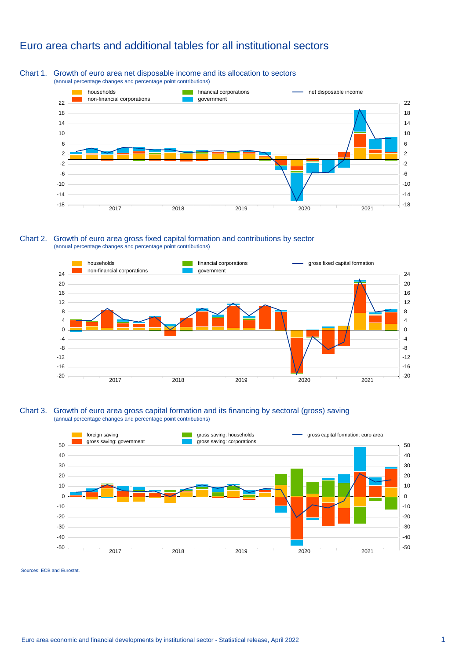### Euro area charts and additional tables for all institutional sectors

#### Chart 1. Growth of euro area net disposable income and its allocation to sectors (annual percentage changes and percentage point contributions)



#### Chart 2. Growth of euro area gross fixed capital formation and contributions by sector (annual percentage changes and percentage point contributions)



#### Chart 3. Growth of euro area gross capital formation and its financing by sectoral (gross) saving (annual percentage changes and percentage point contributions)



Sources: ECB and Eurostat.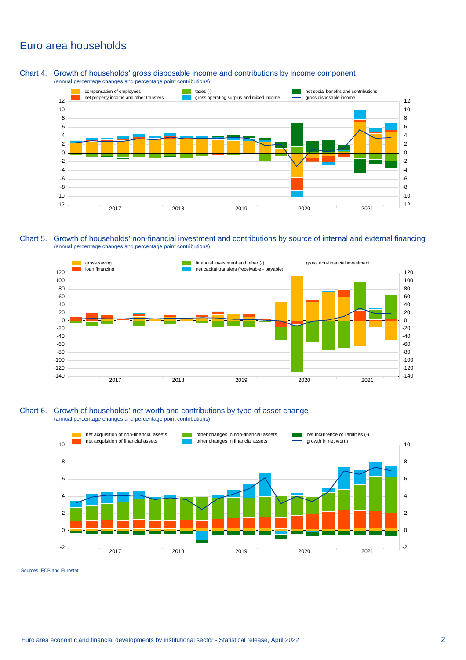### Euro area households

Chart 4. Growth of households' gross disposable income and contributions by income component (annual percentage changes and percentage point contributions)



Chart 5. Growth of households' non-financial investment and contributions by source of internal and external financing (annual percentage changes and percentage point contributions)



#### Chart 6. Growth of households' net worth and contributions by type of asset change (annual percentage changes and percentage point contributions)



Sources: ECB and Eurostat.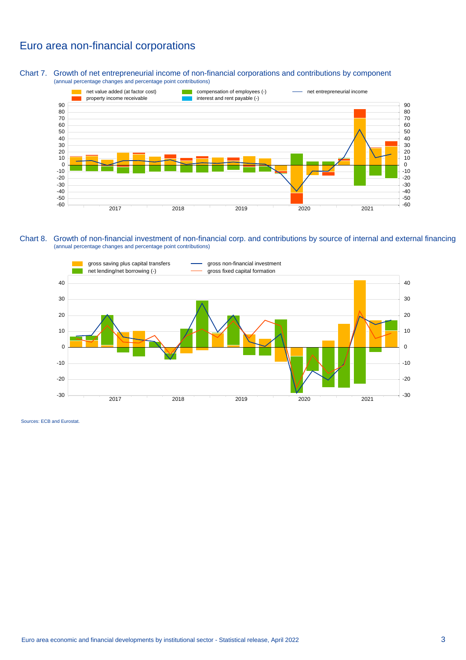### Euro area non-financial corporations

Chart 7. Growth of net entrepreneurial income of non-financial corporations and contributions by component (annual percentage changes and percentage point contributions)



#### Chart 8. Growth of non-financial investment of non-financial corp. and contributions by source of internal and external financing (annual percentage changes and percentage point contributions)



Sources: ECB and Eurostat.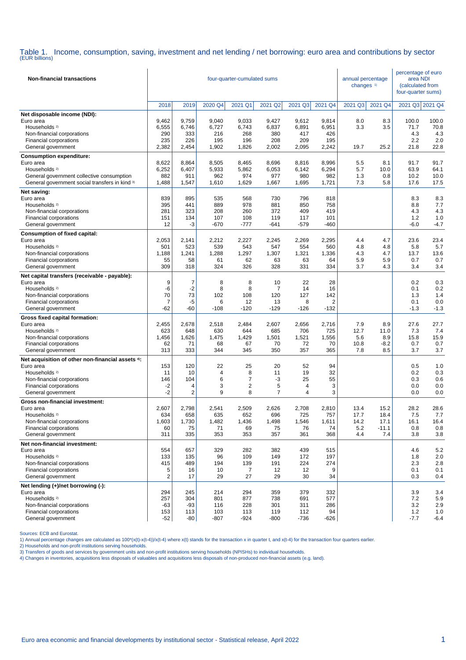Table 1. Income, consumption, saving, investment and net lending / net borrowing: euro area and contributions by sector (EUR billions)

| <b>Non-financial transactions</b>                                                                                                                                                                                                                                                 |                                                        |                                                        | four-quarter-cumulated sums                        |                                                                 | annual percentage<br>changes <sup>1)</sup>           |                                                      | percentage of euro<br>area NDI<br>(calculated from<br>four-quarter sums) |                                    |                                        |                                                        |                                                        |
|-----------------------------------------------------------------------------------------------------------------------------------------------------------------------------------------------------------------------------------------------------------------------------------|--------------------------------------------------------|--------------------------------------------------------|----------------------------------------------------|-----------------------------------------------------------------|------------------------------------------------------|------------------------------------------------------|--------------------------------------------------------------------------|------------------------------------|----------------------------------------|--------------------------------------------------------|--------------------------------------------------------|
|                                                                                                                                                                                                                                                                                   | 2018                                                   | 2019                                                   | 2020 Q4                                            | 2021 Q1                                                         | 2021 Q2                                              | 2021 Q3                                              | 2021 Q4                                                                  | 2021 Q3                            | 2021 Q4                                | 2021 Q3 2021 Q4                                        |                                                        |
| Net disposable income (NDI):<br>Euro area<br>Households <sup>2)</sup><br>Non-financial corporations<br>Financial corporations<br>General government                                                                                                                               | 9,462<br>6,555<br>290<br>235<br>2,382                  | 9,759<br>6,746<br>333<br>226<br>2,454                  | 9,040<br>6,727<br>216<br>195<br>1,902              | 9,033<br>6,743<br>268<br>196<br>1,826                           | 9,427<br>6,837<br>380<br>208<br>2,002                | 9,612<br>6,891<br>417<br>209<br>2,095                | 9,814<br>6,951<br>426<br>195<br>2,242                                    | 8.0<br>3.3<br>19.7                 | 8.3<br>3.5<br>25.2                     | 100.0<br>71.7<br>4.3<br>2.2<br>21.8                    | 100.0<br>70.8<br>4.3<br>2.0<br>22.8                    |
| <b>Consumption expenditure:</b><br>Euro area<br>Households <sup>2)</sup><br>General government collective consumption<br>General government social transfers in kind 3)                                                                                                           | 8,622<br>6,252<br>882<br>1,488                         | 8,864<br>6,407<br>911<br>1,547                         | 8,505<br>5,933<br>962<br>1,610                     | 8,465<br>5,862<br>974<br>1,629                                  | 8,696<br>6,053<br>977<br>1,667                       | 8,816<br>6,142<br>980<br>1,695                       | 8,996<br>6,294<br>982<br>1,721                                           | 5.5<br>5.7<br>1.3<br>7.3           | 8.1<br>10.0<br>0.8<br>5.8              | 91.7<br>63.9<br>10.2<br>17.6                           | 91.7<br>64.1<br>10.0<br>17.5                           |
| Net saving:<br>Euro area<br>Households <sup>2)</sup><br>Non-financial corporations<br>Financial corporations<br>General government                                                                                                                                                | 839<br>395<br>281<br>151<br>12                         | 895<br>441<br>323<br>134<br>-3                         | 535<br>889<br>208<br>107<br>$-670$                 | 568<br>978<br>260<br>108<br>-777                                | 730<br>881<br>372<br>119<br>-641                     | 796<br>850<br>409<br>117<br>$-579$                   | 818<br>758<br>419<br>101<br>$-460$                                       |                                    |                                        | 8.3<br>8.8<br>4.3<br>1.2<br>$-6.0$                     | 8.3<br>7.7<br>4.3<br>1.0<br>$-4.7$                     |
| <b>Consumption of fixed capital:</b><br>Euro area<br>Households <sup>2)</sup><br>Non-financial corporations<br>Financial corporations<br>General government                                                                                                                       | 2,053<br>501<br>1,188<br>55<br>309                     | 2,141<br>523<br>1,241<br>58<br>318                     | 2,212<br>539<br>1,288<br>61<br>324                 | 2,227<br>543<br>1,297<br>62<br>326                              | 2,245<br>547<br>1,307<br>63<br>328                   | 2,269<br>554<br>1,321<br>63<br>331                   | 2,295<br>560<br>1,336<br>64<br>334                                       | 4.4<br>4.8<br>4.3<br>5.9<br>3.7    | 4.7<br>4.8<br>4.7<br>5.9<br>4.3        | 23.6<br>5.8<br>13.7<br>0.7<br>3.4                      | 23.4<br>5.7<br>13.6<br>0.7<br>3.4                      |
| Net capital transfers (receivable - payable):<br>Euro area<br>Households <sup>2)</sup><br>Non-financial corporations<br>Financial corporations<br>General government                                                                                                              | 9<br>-6<br>70<br>7<br>$-62$                            | $\overline{7}$<br>$-2$<br>73<br>-5<br>$-60$            | 8<br>8<br>102<br>6<br>$-108$                       | 8<br>8<br>108<br>12<br>$-120$                                   | 10<br>7<br>120<br>13<br>$-129$                       | 22<br>14<br>127<br>8<br>$-126$                       | 28<br>16<br>142<br>2<br>$-132$                                           |                                    |                                        | 0.2<br>0.1<br>1.3<br>0.1<br>$-1.3$                     | 0.3<br>0.2<br>1.4<br>0.0<br>$-1.3$                     |
| Gross fixed capital formation:<br>Euro area<br>Households <sup>2)</sup><br>Non-financial corporations<br>Financial corporations<br>General government<br>Net acquisition of other non-financial assets 4):<br>Euro area<br>Households <sup>2)</sup><br>Non-financial corporations | 2,455<br>623<br>1,456<br>62<br>313<br>153<br>11<br>146 | 2,678<br>648<br>1,626<br>71<br>333<br>120<br>10<br>104 | 2,518<br>630<br>1,475<br>68<br>344<br>22<br>4<br>6 | 2,484<br>644<br>1,429<br>67<br>345<br>25<br>8<br>$\overline{7}$ | 2,607<br>685<br>1,501<br>70<br>350<br>20<br>11<br>-3 | 2,656<br>706<br>1,521<br>72<br>357<br>52<br>19<br>25 | 2,716<br>725<br>1,556<br>70<br>365<br>94<br>32<br>55                     | 7.9<br>12.7<br>5.6<br>10.8<br>7.8  | 8.9<br>11.0<br>8.9<br>$-8.2$<br>8.5    | 27.6<br>7.3<br>15.8<br>0.7<br>3.7<br>0.5<br>0.2<br>0.3 | 27.7<br>7.4<br>15.9<br>0.7<br>3.7<br>1.0<br>0.3<br>0.6 |
| Financial corporations<br>General government<br>Gross non-financial investment:                                                                                                                                                                                                   | $-2$<br>$-2$                                           | 4<br>2                                                 | 3<br>9                                             | $\overline{\mathbf{c}}$<br>8                                    | 5<br>$\overline{7}$                                  | 4<br>4                                               | 3<br>3                                                                   |                                    |                                        | 0.0<br>0.0                                             | 0.0<br>0.0                                             |
| Euro area<br>Households <sup>2)</sup><br>Non-financial corporations<br>Financial corporations<br>General government                                                                                                                                                               | 2,607<br>634<br>1,603<br>60<br>311                     | 2,798<br>658<br>1,730<br>75<br>335                     | 2,541<br>635<br>1,482<br>71<br>353                 | 2,509<br>652<br>1,436<br>69<br>353                              | 2,626<br>696<br>1,498<br>75<br>357                   | 2,708<br>725<br>1,546<br>76<br>361                   | 2,810<br>757<br>1,611<br>74<br>368                                       | 13.4<br>17.7<br>14.2<br>5.2<br>4.4 | 15.2<br>18.4<br>17.1<br>$-11.1$<br>7.4 | 28.2<br>7.5<br>16.1<br>0.8<br>3.8                      | 28.6<br>7.7<br>16.4<br>0.8<br>3.8                      |
| Net non-financial investment:<br>Euro area<br>Households <sup>2)</sup><br>Non-financial corporations<br>Financial corporations<br>General government                                                                                                                              | 554<br>133<br>415<br>5<br>$\overline{2}$               | 657<br>135<br>489<br>16<br>17                          | 329<br>96<br>194<br>10<br>29                       | 282<br>109<br>139<br>7<br>27                                    | 382<br>149<br>191<br>12<br>29                        | 439<br>172<br>224<br>12<br>30                        | 515<br>197<br>274<br>9<br>34                                             |                                    |                                        | 4.6<br>1.8<br>2.3<br>0.1<br>0.3                        | 5.2<br>2.0<br>2.8<br>0.1<br>0.4                        |
| Net lending (+)/net borrowing (-):<br>Euro area<br>Households <sup>2)</sup><br>Non-financial corporations<br>Financial corporations<br>General government                                                                                                                         | 294<br>257<br>-63<br>153<br>$-52$                      | 245<br>304<br>-93<br>113<br>$-80$                      | 214<br>801<br>116<br>103<br>$-807$                 | 294<br>877<br>228<br>113<br>$-924$                              | 359<br>738<br>301<br>119<br>$-800$                   | 379<br>691<br>311<br>112<br>$-736$                   | 332<br>577<br>286<br>94<br>$-626$                                        |                                    |                                        | 3.9<br>7.2<br>3.2<br>1.2<br>$-7.7$                     | 3.4<br>5.9<br>2.9<br>1.0<br>$-6.4$                     |

Sources: ECB and Eurostat.

1) Annual percentage changes are calculated as  $100^*(x(t)-x(t-4))/x(t-4)$  where  $x(t)$  stands for the transaction x in quarter t, and  $x(t-4)$  for the transaction four quarters earlier.

2) Households and non-profit institutions serving households.

3) Transfers of goods and services by government units and non-profit institutions serving households (NPISHs) to individual households.

4) Changes in inventories, acquisitions less disposals of valuables and acquisitions less disposals of non-produced non-financial assets (e.g. land).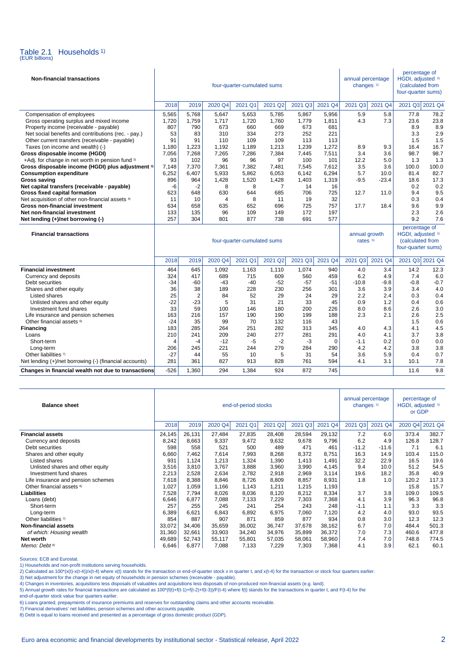

| <b>Non-financial transactions</b>                      |       |                |         | four-quarter-cumulated sums |                     | annual percentage<br>changes <sup>2)</sup> |          | percentage of<br>HGDI, adjusted 3)<br>(calculated from<br>four-quarter sums) |         |                                                                              |        |
|--------------------------------------------------------|-------|----------------|---------|-----------------------------|---------------------|--------------------------------------------|----------|------------------------------------------------------------------------------|---------|------------------------------------------------------------------------------|--------|
|                                                        | 2018  | 2019           | 2020 Q4 | 2021 Q1                     | 2021 Q2             | 2021 Q3                                    | 2021 Q4  | 2021 Q3                                                                      | 2021 Q4 | 2021 Q3 2021 Q4                                                              |        |
| Compensation of employees                              | 5,565 | 5,768          | 5,647   | 5,653                       | 5,785               | 5,867                                      | 5,956    | 5.9                                                                          | 5.8     | 77.8                                                                         | 78.2   |
| Gross operating surplus and mixed income               | 1,720 | 1,759          | 1,717   | 1,720                       | 1,760               | 1.779                                      | 1,811    | 4.3                                                                          | 7.3     | 23.6                                                                         | 23.8   |
| Property income (receivable - payable)                 | 807   | 790            | 673     | 660                         | 669                 | 673                                        | 681      |                                                                              |         | 8.9                                                                          | 8.9    |
| Net social benefits and contributions (rec. - pay.)    | 53    | 83             | 310     | 334                         | 273                 | 252                                        | 221      |                                                                              |         | 3.3                                                                          | 2.9    |
| Other current transfers (receivable - payable)         | 91    | 91             | 110     | 109                         | 109                 | 113                                        | 113      |                                                                              |         | 1.5                                                                          | 1.5    |
| Taxes (on income and wealth) (-)                       | 1.180 | 1.223          | 1,192   | 1,189                       | 1,213               | 1,239                                      | 1,272    | 8.9                                                                          | 9.3     | 16.4                                                                         | 16.7   |
| Gross disposable income (HGDI)                         | 7,056 | 7,268          | 7,265   | 7,286                       | 7,384               | 7,445                                      | 7,511    | 3.4                                                                          | 3.6     | 98.7                                                                         | 98.7   |
| +Adj. for change in net worth in pension fund 3)       | 93    | 102            | 96      | 96                          | 97                  | 100                                        | 101      | 12.2                                                                         | 5.0     | 1.3                                                                          | 1.3    |
| Gross disposable income (HGDI) plus adjustment 3)      | 7,148 | 7,370          | 7,361   | 7,382                       | 7,481               | 7,545                                      | 7,612    | 3.5                                                                          | 3.6     | 100.0                                                                        | 100.0  |
| <b>Consumption expenditure</b>                         | 6,252 | 6,407          | 5,933   | 5,862                       | 6,053               | 6,142                                      | 6,294    | 5.7                                                                          | 10.0    | 81.4                                                                         | 82.7   |
| Gross saving                                           | 896   | 964            | 1,428   | 1,520                       | 1,428               | 1,403                                      | 1,319    | $-9.5$                                                                       | $-23.4$ | 18.6                                                                         | 17.3   |
| Net capital transfers (receivable - payable)           | -6    | $-2$           | 8       | 8                           | $\overline{7}$      | 14                                         | 16       |                                                                              |         | 0.2                                                                          | 0.2    |
| Gross fixed capital formation                          | 623   | 648            | 630     | 644                         | 685                 | 706                                        | 725      | 12.7                                                                         | 11.0    | 9.4                                                                          | 9.5    |
| Net acquisition of other non-financial assets 4)       | 11    | 10             | 4       | 8                           | 11                  | 19                                         | 32       |                                                                              |         | 0.3                                                                          | 0.4    |
| <b>Gross non-financial investment</b>                  | 634   | 658            | 635     | 652                         | 696                 | 725                                        | 757      | 17.7                                                                         | 18.4    | 9.6                                                                          | 9.9    |
| Net non-financial investment                           | 133   | 135            | 96      | 109                         | 149                 | 172                                        | 197      |                                                                              |         | 2.3                                                                          | 2.6    |
| Net lending (+)/net borrowing (-)                      | 257   | 304            | 801     | 877                         | 738                 | 691                                        | 577      |                                                                              |         | 9.2                                                                          | 7.6    |
| <b>Financial transactions</b>                          |       |                |         | four-quarter-cumulated sums |                     |                                            |          | annual growth<br>rates 5)                                                    |         | percentage of<br>HGDI, adjusted 3)<br>(calculated from<br>four-quarter sums) |        |
|                                                        | 2018  | 2019           | 2020 Q4 | 2021 Q1                     | 2021 Q <sub>2</sub> | 2021 Q3                                    | 2021 Q4  | Q <sub>3</sub><br>2021                                                       | 2021 Q4 | 2021 Q3 2021 Q4                                                              |        |
| <b>Financial investment</b>                            | 464   | 645            | 1,092   | 1,163                       | 1,110               | 1,074                                      | 940      | 4.0                                                                          | 3.4     | 14.2                                                                         | 12.3   |
| Currency and deposits                                  | 324   | 417            | 689     | 715                         | 609                 | 560                                        | 459      | 6.2                                                                          | 4.9     | 7.4                                                                          | 6.0    |
| Debt securities                                        | -34   | $-60$          | $-43$   | $-40$                       | -52                 | $-57$                                      | $-51$    | $-10.8$                                                                      | $-9.8$  | $-0.8$                                                                       | $-0.7$ |
| Shares and other equity                                | 36    | 38             | 189     | 228                         | 230                 | 256                                        | 301      | 3.6                                                                          | 3.9     | 3.4                                                                          | 4.0    |
| Listed shares                                          | 25    | $\overline{2}$ | 84      | 52                          | 29                  | 24                                         | 29       | 2.2                                                                          | 2.4     | 0.3                                                                          | 0.4    |
| Unlisted shares and other equity                       | $-22$ | $-23$          | 5       | 31                          | 21                  | 33                                         | 45       | 0.9                                                                          | 1.2     | 0.4                                                                          | 0.6    |
| Investment fund shares                                 | 33    | 59             | 100     | 146                         | 180                 | 200                                        | 226      | 8.0                                                                          | 8.6     | 2.6                                                                          | 3.0    |
| Life insurance and pension schemes                     | 163   | 216            | 157     | 190                         | 190                 | 199                                        | 188      | 2.3                                                                          | 2.1     | 2.6                                                                          | 2.5    |
| Other financial assets <sup>6)</sup>                   | $-24$ | 35             | 99      | 70                          | 132                 | 116                                        | 43       |                                                                              |         | 1.5                                                                          | 0.6    |
| <b>Financing</b>                                       | 183   | 285            | 264     | 251                         | 282                 | 313                                        | 345      | 4.0                                                                          | 4.3     | 4.1                                                                          | 4.5    |
| Loans                                                  | 210   | 241            | 209     | 240                         | 277                 | 281                                        | 291      | 4.0                                                                          | 4.1     | 3.7                                                                          | 3.8    |
| Short-term                                             | 4     | $-4$           | $-12$   | -5                          | $-2$                | -3                                         | $\Omega$ | $-1.1$                                                                       | 0.2     | 0.0                                                                          | 0.0    |
| Long-term                                              | 206   | 245            | 221     | 244                         | 279                 | 284                                        | 290      | 4.2                                                                          | 4.2     | 3.8                                                                          | 3.8    |
| Other liabilities 7)                                   | $-27$ | 44             | 55      | 10                          | 5                   | 31                                         | 54       | 3.6                                                                          | 5.9     | 0.4                                                                          | 0.7    |
| Net lending (+)/net borrowing (-) (financial accounts) | 281   | 361            | 827     | 913                         | 828                 | 761                                        | 594      | 4.1                                                                          | 3.1     | 10.1                                                                         | 7.8    |

| <b>Balance sheet</b>                 |        |        | end-of-period stocks | annual percentage<br>changes <sup>2)</sup> |         | percentage of<br>HGDI, adjusted 3)<br>or GDP |         |         |         |       |                 |
|--------------------------------------|--------|--------|----------------------|--------------------------------------------|---------|----------------------------------------------|---------|---------|---------|-------|-----------------|
|                                      | 2018   | 2019   | 2020 Q4              | 2021 Q1                                    | 2021 Q2 | 2021 Q3                                      | 2021 Q4 | 2021 Q3 | 2021 Q4 |       | 2020 Q4 2021 Q4 |
| <b>Financial assets</b>              | 24,145 | 26,131 | 27,484               | 27,835                                     | 28,408  | 28,594                                       | 29,132  | 7.2     | 6.0     | 373.4 | 382.7           |
| Currency and deposits                | 8,242  | 8,663  | 9,337                | 9,472                                      | 9,632   | 9,678                                        | 9,796   | 6.2     | 4.9     | 126.8 | 128.7           |
| Debt securities                      | 598    | 558    | 521                  | 500                                        | 489     | 471                                          | 461     | $-11.2$ | $-11.6$ | 7.1   | 6.1             |
| Shares and other equity              | 6,660  | 7,462  | 7,614                | 7,993                                      | 8,268   | 8,372                                        | 8,751   | 16.3    | 14.9    | 103.4 | 115.0           |
| Listed shares                        | 931    | 1,124  | 1,213                | 1,324                                      | 1,390   | 1,413                                        | 1,491   | 32.2    | 22.9    | 16.5  | 19.6            |
| Unlisted shares and other equity     | 3,516  | 3,810  | 3,767                | 3,888                                      | 3,960   | 3,990                                        | 4,145   | 9.4     | 10.0    | 51.2  | 54.5            |
| Investment fund shares               | 2,213  | 2,528  | 2,634                | 2,782                                      | 2,918   | 2,969                                        | 3,114   | 19.6    | 18.2    | 35.8  | 40.9            |
| Life insurance and pension schemes   | 7,618  | 8,388  | 8,846                | 8,726                                      | 8,809   | 8,857                                        | 8,931   | 1.8     | 1.0     | 120.2 | 117.3           |
| Other financial assets <sup>6)</sup> | 1,027  | 1,059  | 1,166                | 1,143                                      | 1,211   | 1,215                                        | 1,193   |         |         | 15.8  | 15.7            |
| <b>Liabilities</b>                   | 7,528  | 7,794  | 8,026                | 8,036                                      | 8,120   | 8,212                                        | 8,334   | 3.7     | 3.8     | 109.0 | 109.5           |
| Loans (debt)                         | 6,646  | 6,877  | 7.088                | 7,133                                      | 7,229   | 7,303                                        | 7,368   | 4.1     | 3.9     | 96.3  | 96.8            |
| Short-term                           | 257    | 255    | 245                  | 241                                        | 254     | 243                                          | 248     | $-1.1$  | 1.1     | 3.3   | 3.3             |
| Long-term                            | 6,389  | 6,621  | 6,843                | 6,892                                      | 6,975   | 7,060                                        | 7,120   | 4.2     | 4.0     | 93.0  | 93.5            |
| Other liabilities 7)                 | 854    | 887    | 907                  | 871                                        | 859     | 877                                          | 934     | 0.8     | 3.0     | 12.3  | 12.3            |
| <b>Non-financial assets</b>          | 33,072 | 34,406 | 35,659               | 36,002                                     | 36,747  | 37,678                                       | 38,162  | 6.7     | 7.0     | 484.4 | 501.3           |
| of which: Housing wealth             | 31,360 | 32,661 | 33,903               | 34,240                                     | 34,976  | 35,899                                       | 36,372  | 7.0     | 7.3     | 460.6 | 477.8           |
| Net worth                            | 49,689 | 52,743 | 55,117               | 55,801                                     | 57,035  | 58,061                                       | 58,960  | 7.4     | 7.0     | 748.8 | 774.5           |
| Memo: Debt <sup>8)</sup>             | 6,646  | 6,877  | 7,088                | 7,133                                      | 7,229   | 7,303                                        | 7,368   | 4.1     | 3.9     | 62.1  | 60.1            |

**Changes in financial wealth not due to transactions**  $-526$  1,360 294 1,384 924 872 745 11.6 9.8

Sources: ECB and Eurostat.

1) Households and non-profit institutions serving households.

2) Calculated as  $100*(x(t)-x(t-4))/x(t-4)$  where  $x(t)$  stands for the transaction or end-of-quarter stock x in quarter t, and  $x(t-4)$  for the transaction or stock four quarters earlier.

3) Net adjustment for the change in net equity of households in pension schemes (receivable - payable).<br>4) Changes in inventories, acquisitions less disposals of valuables and acquisitions less disposals of non-produced no

5) Annual growth rates for financial transactions are calculated as 100\*(f(t)+f(t-1)+f(t-2)+f(t-3))/F(t-4) where f(t) stands for the transactions in quarter t, and F(t-4) for the

end-of-quarter stock value four quarters earlier.

6) Loans granted, prepayments of insurance premiums and reserves for outstanding claims and other accounts receivable.

7) Financial derivatives' net liabilities, pension schemes and other accounts payable.

8) Debt is equal to loans received and presented as a percentage of gross domestic product (GDP).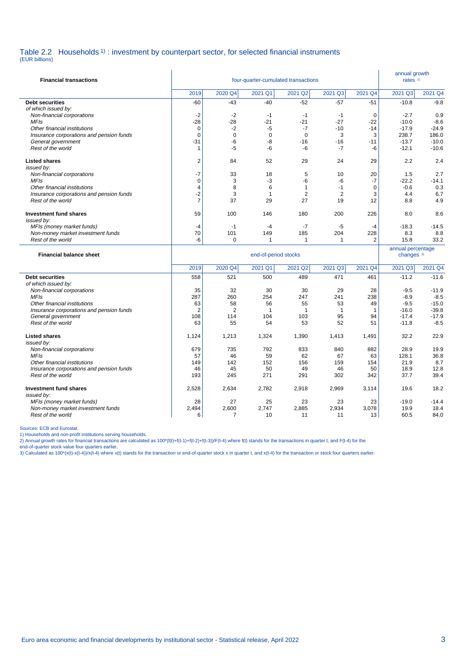### Table 2.2 Households <sup>1</sup>) : investment by counterpart sector, for selected financial instruments

(EUR billions)

| <b>Financial transactions</b>                                  |                               |                | annual growth<br>rates <sup>2)</sup> |                      |                |                   |                                            |                   |
|----------------------------------------------------------------|-------------------------------|----------------|--------------------------------------|----------------------|----------------|-------------------|--------------------------------------------|-------------------|
|                                                                | 2019                          | 2020 Q4        | 2021 Q1                              | 2021 Q2              | 2021 Q3        | 2021 Q4           | 2021 Q3                                    | 2021 Q4           |
| <b>Debt securities</b>                                         | $-60$                         | $-43$          | $-40$                                | $-52$                | $-57$          | $-51$             | $-10.8$                                    | $-9.8$            |
| of which issued by:                                            |                               |                |                                      |                      |                |                   |                                            |                   |
| Non-financial corporations                                     | -2                            | $-2$           | $-1$                                 | $-1$                 | $-1$           | 0                 | $-2.7$                                     | 0.9               |
| <b>MFIs</b><br>Other financial institutions                    | $-28$<br>$\mathbf 0$          | $-28$<br>$-2$  | $-21$<br>$-5$                        | $-21$<br>$-7$        | $-27$<br>$-10$ | $-22$<br>$-14$    | $-10.0$<br>$-17.9$                         | $-8.6$<br>$-24.9$ |
| Insurance corporations and pension funds                       | $\mathbf 0$                   | $\Omega$       | $\mathbf 0$                          | $\Omega$             | 3              | 3                 | 238.7                                      | 186.0             |
| General government                                             | $-31$                         | -6             | -8                                   | $-16$                | $-16$          | $-11$             | $-13.7$                                    | $-10.0$           |
| Rest of the world                                              | 1                             | $-5$           | $-6$                                 | -6                   | $-7$           | $-6$              | $-12.1$                                    | $-10.6$           |
| <b>Listed shares</b>                                           | 2                             | 84             | 52                                   | 29                   | 24             | 29                | 2.2                                        | 2.4               |
| issued by:                                                     |                               |                |                                      |                      |                |                   |                                            |                   |
| Non-financial corporations                                     | $-7$                          | 33             | 18                                   | 5                    | 10             | 20                | 1.5                                        | 2.7               |
| <b>MFIs</b><br>Other financial institutions                    | $\mathbf 0$<br>$\overline{4}$ | 3<br>8         | $-3$<br>6                            | -6<br>$\overline{1}$ | -6<br>$-1$     | -7<br>$\mathbf 0$ | $-22.2$<br>$-0.6$                          | $-14.1$<br>0.3    |
| Insurance corporations and pension funds                       | $-2$                          | 3              | $\mathbf{1}$                         | $\overline{2}$       | $\overline{2}$ | 3                 | 4.4                                        | 6.7               |
| Rest of the world                                              | $\overline{7}$                | 37             | 29                                   | 27                   | 19             | 12                | 8.8                                        | 4.9               |
|                                                                |                               |                |                                      |                      |                |                   |                                            |                   |
| <b>Investment fund shares</b><br>issued by:                    | 59                            | 100            | 146                                  | 180                  | 200            | 226               | 8.0                                        | 8.6               |
| MFIs (money market funds)                                      | -4                            | $-1$           | $-4$                                 | $-7$                 | $-5$           | $-4$              | $-18.3$                                    | $-14.5$           |
| Non-money market investment funds                              | 70                            | 101            | 149                                  | 185                  | 204            | 228               | 8.3                                        | 8.8               |
| Rest of the world                                              | -6                            | 0              | $\mathbf{1}$                         | $\overline{1}$       | 1              | $\overline{2}$    | 15.8                                       | 33.2              |
|                                                                |                               |                |                                      |                      |                |                   |                                            |                   |
| <b>Financial balance sheet</b>                                 |                               |                | end-of-period stocks                 |                      |                |                   | annual percentage<br>changes <sup>3)</sup> |                   |
|                                                                | 2019                          | 2020 Q4        | 2021 Q1                              | 2021 Q2              | 2021 Q3        | 2021 Q4           | 2021 Q3                                    | 2021 Q4           |
| <b>Debt securities</b>                                         |                               |                |                                      |                      |                |                   | $-11.2$                                    |                   |
| of which issued by:                                            | 558                           | 521            | 500                                  | 489                  | 471            | 461               |                                            | $-11.6$           |
| Non-financial corporations                                     | 35                            | 32             | 30                                   | 30                   | 29             | 28                | $-9.5$                                     | $-11.9$           |
| <b>MFIs</b>                                                    | 287                           | 260            | 254                                  | 247                  | 241            | 238               | $-8.9$                                     | $-8.5$            |
| Other financial institutions                                   | 63                            | 58             | 56                                   | 55                   | 53             | 49                | $-9.5$                                     | $-15.0$           |
| Insurance corporations and pension funds                       | $\overline{2}$                | $\overline{2}$ | $\mathbf{1}$                         | $\overline{1}$       | $\mathbf{1}$   | $\mathbf{1}$      | $-16.0$                                    | $-39.8$           |
| General government                                             | 108                           | 114            | 104                                  | 103                  | 95             | 94                | $-17.4$                                    | $-17.9$           |
| Rest of the world                                              | 63                            | 55             | 54                                   | 53                   | 52             | 51                | $-11.8$                                    | $-8.5$            |
| <b>Listed shares</b>                                           | 1,124                         | 1,213          | 1,324                                | 1,390                | 1,413          | 1,491             | 32.2                                       | 22.9              |
| issued by:                                                     | 679                           |                |                                      |                      |                | 882               | 28.9                                       |                   |
| Non-financial corporations<br><b>MFIs</b>                      | 57                            | 735<br>46      | 792<br>59                            | 833<br>62            | 840<br>67      | 63                | 128.1                                      | 19.9<br>36.8      |
| Other financial institutions                                   | 149                           | 142            | 152                                  | 156                  | 159            | 154               | 21.9                                       | 8.7               |
| Insurance corporations and pension funds                       | 46                            | 45             | 50                                   | 49                   | 46             | 50                | 18.9                                       | 12.8              |
| Rest of the world                                              | 193                           | 245            | 271                                  | 291                  | 302            | 342               | 37.7                                       | 39.4              |
| Investment fund shares                                         | 2,528                         | 2,634          | 2,782                                | 2,918                | 2,969          | 3,114             | 19.6                                       | 18.2              |
| issued by:                                                     |                               |                |                                      |                      |                |                   |                                            |                   |
| MFIs (money market funds)<br>Non-money market investment funds | 28<br>2,494                   | 27<br>2,600    | 25<br>2,747                          | 23<br>2,885          | 23<br>2,934    | 23<br>3,078       | $-19.0$<br>19.9                            | $-14.4$<br>18.4   |

Rest of the world

Sources: ECB and Eurostat.<br>2) Households and non-profit institutions serving households.<br>2) Annual growth rates for financial transactions are calculated as 100\*(f(t)+f(t-1)+f(t-2)+f(t-3))/F(t-4) where f(t) stands for the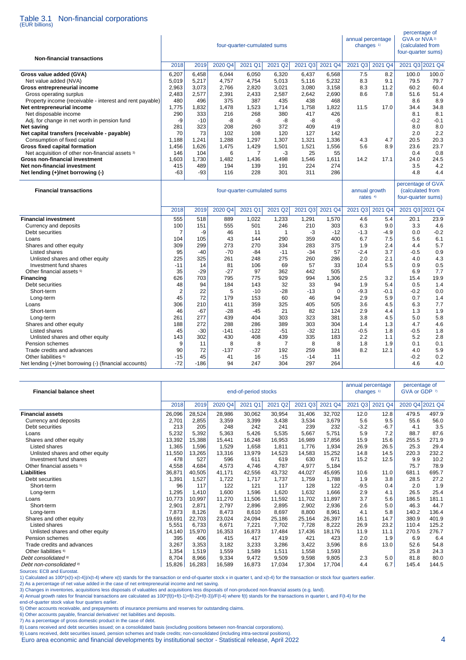# Table 3.1 Non-financial corporations (EUR billions)

| 2021 Q3 2021 Q4<br>2018<br>2020 Q4<br>2021 Q1<br>2021 Q2<br>2021 Q3<br>2021 Q4<br>2021 Q3 2021 Q4<br>2019<br>7.5<br>8.2<br>6,207<br>6,458<br>6.044<br>6,050<br>6,320<br>6,437<br>6,568<br>100.0<br>100.0<br>8.3<br>Net value added (NVA)<br>5,019<br>5,217<br>4,757<br>5,116<br>5,232<br>9.1<br>79.5<br>79.7<br>4,754<br>5,013<br>Gross entrepreneurial income<br>2,963<br>3,073<br>2,766<br>2,820<br>3,021<br>3,080<br>3,158<br>8.3<br>11.2<br>60.2<br>60.4<br>Gross operating surplus<br>2,483<br>2,577<br>2,391<br>2,433<br>2,587<br>2,642<br>2,690<br>8.6<br>7.8<br>51.6<br>51.4<br>468<br>8.9<br>Property income (receivable - interest and rent payable)<br>480<br>496<br>375<br>387<br>435<br>438<br>8.6<br>1,775<br>1,832<br>1,478<br>1,523<br>1,758<br>1,822<br>11.5<br>34.8<br>Net entrepreneurial income<br>1,714<br>17.0<br>34.4<br>Net disposable income<br>290<br>333<br>216<br>268<br>380<br>417<br>426<br>8.1<br>8.1<br>Adj. for change in net worth in pension fund<br>-9<br>$-10$<br>-8<br>-8<br>-8<br>-8<br>-8<br>$-0.2$<br>$-0.1$<br>8.0<br>281<br>323<br>208<br>260<br>372<br>409<br>419<br>8.0<br><b>Net saving</b><br>73<br>102<br>120<br>127<br>142<br>2.0<br>2.2<br>Net capital transfers (receivable - payable)<br>70<br>108<br>1,297<br>1,321<br>20.3<br>Consumption of fixed capital<br>1.188<br>1.241<br>1.288<br>1.307<br>1,336<br>4.3<br>4.7<br>20.5<br>8.9<br>Gross fixed capital formation<br>1,456<br>1,626<br>1,475<br>1,429<br>1,501<br>1,521<br>1,556<br>5.6<br>23.6<br>23.7<br>Net acquisition of other non-financial assets 3)<br>104<br>0.4<br>0.8<br>146<br>6<br>7<br>-3<br>25<br>55<br>Gross non-financial investment<br>1.603<br>1.730<br>1,482<br>1,436<br>1,498<br>1,546<br>1,611<br>14.2<br>17.1<br>24.0<br>24.5<br>194<br>224<br>274<br>3.5<br>4.2<br>Net non-financial investment<br>415<br>489<br>139<br>191<br>$-63$<br>228<br>311<br>286<br>4.8<br>4.4<br>Net lending (+)/net borrowing (-)<br>-93<br>116<br>301<br>percentage of GVA<br><b>Financial transactions</b><br>four-quarter-cumulated sums<br>annual growth<br>(calculated from<br>four-quarter sums)<br>rates <sup>4)</sup><br>2018<br>2020 Q4<br>2021 Q1<br>2021 Q2<br>2021 Q3<br>2021 Q4<br>2021 Q3<br>2021 Q4<br>2021 Q3 2021 Q4<br>2019<br>555<br>518<br>1,570<br>4.6<br>5.4<br>23.9<br>889<br>1,022<br>1,233<br>1,291<br>20.1<br>100<br>151<br>555<br>501<br>246<br>210<br>303<br>6.3<br>9.0<br>3.3<br>4.6<br>Currency and deposits<br>$\overline{7}$<br>-9<br>$-3$<br>$-12$<br>$-1.3$<br>$-4.9$<br>$-0.2$<br>Debt securities<br>46<br>11<br>$\mathbf{1}$<br>0.0<br>43<br>290<br>359<br>400<br>6.7<br>7.5<br>5.6<br>104<br>105<br>144<br>6.1<br>Loans<br>309<br>299<br>273<br>270<br>283<br>375<br>2.4<br>4.4<br>5.7<br>Shares and other equity<br>334<br>1.9<br>95<br>$-70$<br>$-84$<br>57<br>$-2.4$<br>3.7<br>$-0.5$<br>$-40$<br>$-11$<br>$-34$<br>0.9<br>Listed shares<br>225<br>325<br>261<br>248<br>275<br>260<br>286<br>2.0<br>2.1<br>4.0<br>4.3<br>Unlisted shares and other equity<br>14<br>81<br>69<br>57<br>33<br>5.5<br>0.9<br>0.5<br>Investment fund shares<br>$-11$<br>106<br>10.4<br>Other financial assets <sup>5)</sup><br>35<br>$-29$<br>$-27$<br>97<br>442<br>505<br>6.9<br>7.7<br>362<br>626<br>703<br>795<br>929<br>994<br>1.306<br>2.5<br>19.9<br><b>Financing</b><br>775<br>3.2<br>15.4<br>48<br>94<br>184<br>143<br>32<br>33<br>1.9<br>5.4<br>0.5<br>1.4<br>Debt securities<br>94<br>$\overline{2}$<br>22<br>5<br>$-10$<br>$-28$<br>$-13$<br>$\mathbf 0$<br>$-9.3$<br>$-0.1$<br>$-0.2$<br>0.0<br>Short-term<br>45<br>72<br>94<br>5.9<br>179<br>153<br>60<br>46<br>2.9<br>0.7<br>1.4<br>Long-term<br>306<br>210<br>359<br>325<br>405<br>505<br>4.5<br>6.3<br>7.7<br>411<br>3.6<br>Loans<br>46<br>$-67$<br>$-28$<br>$-45$<br>21<br>82<br>124<br>2.9<br>4.4<br>1.3<br>1.9<br>Short-term<br>261<br>277<br>439<br>404<br>303<br>323<br>381<br>3.8<br>4.5<br>5.0<br>5.8<br>Long-term<br>Shares and other equity<br>188<br>272<br>288<br>286<br>389<br>303<br>304<br>1.4<br>1.3<br>4.7<br>4.6<br>45<br>$-122$<br>$-32$<br>$-0.5$<br>$-0.5$<br>$-30$<br>$-141$<br>-51<br>121<br>1.8<br>1.8<br>Listed shares<br>Unlisted shares and other equity<br>143<br>302<br>430<br>408<br>439<br>335<br>183<br>2.2<br>1.1<br>5.2<br>2.8<br>Pension schemes<br>9<br>11<br>8<br>8<br>7<br>8<br>8<br>1.8<br>1.9<br>0.1<br>0.1<br>90<br>72<br>$-37$<br>384<br>8.2<br>5.9<br>Trade credits and advances<br>$-137$<br>192<br>259<br>12.1<br>4.0<br>$-15$<br>45<br>$-15$<br>$-14$<br>11<br>$-0.2$<br>0.2<br>Other liabilities <sup>6)</sup><br>41<br>16<br>297<br>$-72$<br>$-186$<br>94<br>247<br>304<br>264<br>4.6<br>4.0 | <b>Non-financial transactions</b>                      |  | four-quarter-cumulated sums | annual percentage<br>changes <sup>1)</sup> | percentage of<br>GVA or NVA <sup>2)</sup><br>(calculated from<br>four-quarter sums) |  |  |
|---------------------------------------------------------------------------------------------------------------------------------------------------------------------------------------------------------------------------------------------------------------------------------------------------------------------------------------------------------------------------------------------------------------------------------------------------------------------------------------------------------------------------------------------------------------------------------------------------------------------------------------------------------------------------------------------------------------------------------------------------------------------------------------------------------------------------------------------------------------------------------------------------------------------------------------------------------------------------------------------------------------------------------------------------------------------------------------------------------------------------------------------------------------------------------------------------------------------------------------------------------------------------------------------------------------------------------------------------------------------------------------------------------------------------------------------------------------------------------------------------------------------------------------------------------------------------------------------------------------------------------------------------------------------------------------------------------------------------------------------------------------------------------------------------------------------------------------------------------------------------------------------------------------------------------------------------------------------------------------------------------------------------------------------------------------------------------------------------------------------------------------------------------------------------------------------------------------------------------------------------------------------------------------------------------------------------------------------------------------------------------------------------------------------------------------------------------------------------------------------------------------------------------------------------------------------------------------------------------------------------------------------------------------------------------------------------------------------------------------------------------------------------------------------------------------------------------------------------------------------------------------------------------------------------------------------------------------------------------------------------------------------------------------------------------------------------------------------------------------------------------------------------------------------------------------------------------------------------------------------------------------------------------------------------------------------------------------------------------------------------------------------------------------------------------------------------------------------------------------------------------------------------------------------------------------------------------------------------------------------------------------------------------------------------------------------------------------------------------------------------------------------------------------------------------------------------------------------------------------------------------------------------------------------------------------------------------------------------------------------------------------------------------------------------------------------------------------------------------------------------------------------------------------------------------------------------------------------------------------------------------------------------------------------------------------------------------------------------------------------------------------------------------------------------------------------------------------------------------------------------------------------------------------------------------------------------------------------------------------------------------------------|--------------------------------------------------------|--|-----------------------------|--------------------------------------------|-------------------------------------------------------------------------------------|--|--|
|                                                                                                                                                                                                                                                                                                                                                                                                                                                                                                                                                                                                                                                                                                                                                                                                                                                                                                                                                                                                                                                                                                                                                                                                                                                                                                                                                                                                                                                                                                                                                                                                                                                                                                                                                                                                                                                                                                                                                                                                                                                                                                                                                                                                                                                                                                                                                                                                                                                                                                                                                                                                                                                                                                                                                                                                                                                                                                                                                                                                                                                                                                                                                                                                                                                                                                                                                                                                                                                                                                                                                                                                                                                                                                                                                                                                                                                                                                                                                                                                                                                                                                                                                                                                                                                                                                                                                                                                                                                                                                                                                                                                                                             |                                                        |  |                             |                                            |                                                                                     |  |  |
|                                                                                                                                                                                                                                                                                                                                                                                                                                                                                                                                                                                                                                                                                                                                                                                                                                                                                                                                                                                                                                                                                                                                                                                                                                                                                                                                                                                                                                                                                                                                                                                                                                                                                                                                                                                                                                                                                                                                                                                                                                                                                                                                                                                                                                                                                                                                                                                                                                                                                                                                                                                                                                                                                                                                                                                                                                                                                                                                                                                                                                                                                                                                                                                                                                                                                                                                                                                                                                                                                                                                                                                                                                                                                                                                                                                                                                                                                                                                                                                                                                                                                                                                                                                                                                                                                                                                                                                                                                                                                                                                                                                                                                             | Gross value added (GVA)                                |  |                             |                                            |                                                                                     |  |  |
|                                                                                                                                                                                                                                                                                                                                                                                                                                                                                                                                                                                                                                                                                                                                                                                                                                                                                                                                                                                                                                                                                                                                                                                                                                                                                                                                                                                                                                                                                                                                                                                                                                                                                                                                                                                                                                                                                                                                                                                                                                                                                                                                                                                                                                                                                                                                                                                                                                                                                                                                                                                                                                                                                                                                                                                                                                                                                                                                                                                                                                                                                                                                                                                                                                                                                                                                                                                                                                                                                                                                                                                                                                                                                                                                                                                                                                                                                                                                                                                                                                                                                                                                                                                                                                                                                                                                                                                                                                                                                                                                                                                                                                             |                                                        |  |                             |                                            |                                                                                     |  |  |
|                                                                                                                                                                                                                                                                                                                                                                                                                                                                                                                                                                                                                                                                                                                                                                                                                                                                                                                                                                                                                                                                                                                                                                                                                                                                                                                                                                                                                                                                                                                                                                                                                                                                                                                                                                                                                                                                                                                                                                                                                                                                                                                                                                                                                                                                                                                                                                                                                                                                                                                                                                                                                                                                                                                                                                                                                                                                                                                                                                                                                                                                                                                                                                                                                                                                                                                                                                                                                                                                                                                                                                                                                                                                                                                                                                                                                                                                                                                                                                                                                                                                                                                                                                                                                                                                                                                                                                                                                                                                                                                                                                                                                                             |                                                        |  |                             |                                            |                                                                                     |  |  |
|                                                                                                                                                                                                                                                                                                                                                                                                                                                                                                                                                                                                                                                                                                                                                                                                                                                                                                                                                                                                                                                                                                                                                                                                                                                                                                                                                                                                                                                                                                                                                                                                                                                                                                                                                                                                                                                                                                                                                                                                                                                                                                                                                                                                                                                                                                                                                                                                                                                                                                                                                                                                                                                                                                                                                                                                                                                                                                                                                                                                                                                                                                                                                                                                                                                                                                                                                                                                                                                                                                                                                                                                                                                                                                                                                                                                                                                                                                                                                                                                                                                                                                                                                                                                                                                                                                                                                                                                                                                                                                                                                                                                                                             |                                                        |  |                             |                                            |                                                                                     |  |  |
|                                                                                                                                                                                                                                                                                                                                                                                                                                                                                                                                                                                                                                                                                                                                                                                                                                                                                                                                                                                                                                                                                                                                                                                                                                                                                                                                                                                                                                                                                                                                                                                                                                                                                                                                                                                                                                                                                                                                                                                                                                                                                                                                                                                                                                                                                                                                                                                                                                                                                                                                                                                                                                                                                                                                                                                                                                                                                                                                                                                                                                                                                                                                                                                                                                                                                                                                                                                                                                                                                                                                                                                                                                                                                                                                                                                                                                                                                                                                                                                                                                                                                                                                                                                                                                                                                                                                                                                                                                                                                                                                                                                                                                             |                                                        |  |                             |                                            |                                                                                     |  |  |
|                                                                                                                                                                                                                                                                                                                                                                                                                                                                                                                                                                                                                                                                                                                                                                                                                                                                                                                                                                                                                                                                                                                                                                                                                                                                                                                                                                                                                                                                                                                                                                                                                                                                                                                                                                                                                                                                                                                                                                                                                                                                                                                                                                                                                                                                                                                                                                                                                                                                                                                                                                                                                                                                                                                                                                                                                                                                                                                                                                                                                                                                                                                                                                                                                                                                                                                                                                                                                                                                                                                                                                                                                                                                                                                                                                                                                                                                                                                                                                                                                                                                                                                                                                                                                                                                                                                                                                                                                                                                                                                                                                                                                                             |                                                        |  |                             |                                            |                                                                                     |  |  |
|                                                                                                                                                                                                                                                                                                                                                                                                                                                                                                                                                                                                                                                                                                                                                                                                                                                                                                                                                                                                                                                                                                                                                                                                                                                                                                                                                                                                                                                                                                                                                                                                                                                                                                                                                                                                                                                                                                                                                                                                                                                                                                                                                                                                                                                                                                                                                                                                                                                                                                                                                                                                                                                                                                                                                                                                                                                                                                                                                                                                                                                                                                                                                                                                                                                                                                                                                                                                                                                                                                                                                                                                                                                                                                                                                                                                                                                                                                                                                                                                                                                                                                                                                                                                                                                                                                                                                                                                                                                                                                                                                                                                                                             |                                                        |  |                             |                                            |                                                                                     |  |  |
|                                                                                                                                                                                                                                                                                                                                                                                                                                                                                                                                                                                                                                                                                                                                                                                                                                                                                                                                                                                                                                                                                                                                                                                                                                                                                                                                                                                                                                                                                                                                                                                                                                                                                                                                                                                                                                                                                                                                                                                                                                                                                                                                                                                                                                                                                                                                                                                                                                                                                                                                                                                                                                                                                                                                                                                                                                                                                                                                                                                                                                                                                                                                                                                                                                                                                                                                                                                                                                                                                                                                                                                                                                                                                                                                                                                                                                                                                                                                                                                                                                                                                                                                                                                                                                                                                                                                                                                                                                                                                                                                                                                                                                             |                                                        |  |                             |                                            |                                                                                     |  |  |
|                                                                                                                                                                                                                                                                                                                                                                                                                                                                                                                                                                                                                                                                                                                                                                                                                                                                                                                                                                                                                                                                                                                                                                                                                                                                                                                                                                                                                                                                                                                                                                                                                                                                                                                                                                                                                                                                                                                                                                                                                                                                                                                                                                                                                                                                                                                                                                                                                                                                                                                                                                                                                                                                                                                                                                                                                                                                                                                                                                                                                                                                                                                                                                                                                                                                                                                                                                                                                                                                                                                                                                                                                                                                                                                                                                                                                                                                                                                                                                                                                                                                                                                                                                                                                                                                                                                                                                                                                                                                                                                                                                                                                                             |                                                        |  |                             |                                            |                                                                                     |  |  |
|                                                                                                                                                                                                                                                                                                                                                                                                                                                                                                                                                                                                                                                                                                                                                                                                                                                                                                                                                                                                                                                                                                                                                                                                                                                                                                                                                                                                                                                                                                                                                                                                                                                                                                                                                                                                                                                                                                                                                                                                                                                                                                                                                                                                                                                                                                                                                                                                                                                                                                                                                                                                                                                                                                                                                                                                                                                                                                                                                                                                                                                                                                                                                                                                                                                                                                                                                                                                                                                                                                                                                                                                                                                                                                                                                                                                                                                                                                                                                                                                                                                                                                                                                                                                                                                                                                                                                                                                                                                                                                                                                                                                                                             |                                                        |  |                             |                                            |                                                                                     |  |  |
|                                                                                                                                                                                                                                                                                                                                                                                                                                                                                                                                                                                                                                                                                                                                                                                                                                                                                                                                                                                                                                                                                                                                                                                                                                                                                                                                                                                                                                                                                                                                                                                                                                                                                                                                                                                                                                                                                                                                                                                                                                                                                                                                                                                                                                                                                                                                                                                                                                                                                                                                                                                                                                                                                                                                                                                                                                                                                                                                                                                                                                                                                                                                                                                                                                                                                                                                                                                                                                                                                                                                                                                                                                                                                                                                                                                                                                                                                                                                                                                                                                                                                                                                                                                                                                                                                                                                                                                                                                                                                                                                                                                                                                             |                                                        |  |                             |                                            |                                                                                     |  |  |
|                                                                                                                                                                                                                                                                                                                                                                                                                                                                                                                                                                                                                                                                                                                                                                                                                                                                                                                                                                                                                                                                                                                                                                                                                                                                                                                                                                                                                                                                                                                                                                                                                                                                                                                                                                                                                                                                                                                                                                                                                                                                                                                                                                                                                                                                                                                                                                                                                                                                                                                                                                                                                                                                                                                                                                                                                                                                                                                                                                                                                                                                                                                                                                                                                                                                                                                                                                                                                                                                                                                                                                                                                                                                                                                                                                                                                                                                                                                                                                                                                                                                                                                                                                                                                                                                                                                                                                                                                                                                                                                                                                                                                                             |                                                        |  |                             |                                            |                                                                                     |  |  |
|                                                                                                                                                                                                                                                                                                                                                                                                                                                                                                                                                                                                                                                                                                                                                                                                                                                                                                                                                                                                                                                                                                                                                                                                                                                                                                                                                                                                                                                                                                                                                                                                                                                                                                                                                                                                                                                                                                                                                                                                                                                                                                                                                                                                                                                                                                                                                                                                                                                                                                                                                                                                                                                                                                                                                                                                                                                                                                                                                                                                                                                                                                                                                                                                                                                                                                                                                                                                                                                                                                                                                                                                                                                                                                                                                                                                                                                                                                                                                                                                                                                                                                                                                                                                                                                                                                                                                                                                                                                                                                                                                                                                                                             |                                                        |  |                             |                                            |                                                                                     |  |  |
|                                                                                                                                                                                                                                                                                                                                                                                                                                                                                                                                                                                                                                                                                                                                                                                                                                                                                                                                                                                                                                                                                                                                                                                                                                                                                                                                                                                                                                                                                                                                                                                                                                                                                                                                                                                                                                                                                                                                                                                                                                                                                                                                                                                                                                                                                                                                                                                                                                                                                                                                                                                                                                                                                                                                                                                                                                                                                                                                                                                                                                                                                                                                                                                                                                                                                                                                                                                                                                                                                                                                                                                                                                                                                                                                                                                                                                                                                                                                                                                                                                                                                                                                                                                                                                                                                                                                                                                                                                                                                                                                                                                                                                             |                                                        |  |                             |                                            |                                                                                     |  |  |
|                                                                                                                                                                                                                                                                                                                                                                                                                                                                                                                                                                                                                                                                                                                                                                                                                                                                                                                                                                                                                                                                                                                                                                                                                                                                                                                                                                                                                                                                                                                                                                                                                                                                                                                                                                                                                                                                                                                                                                                                                                                                                                                                                                                                                                                                                                                                                                                                                                                                                                                                                                                                                                                                                                                                                                                                                                                                                                                                                                                                                                                                                                                                                                                                                                                                                                                                                                                                                                                                                                                                                                                                                                                                                                                                                                                                                                                                                                                                                                                                                                                                                                                                                                                                                                                                                                                                                                                                                                                                                                                                                                                                                                             |                                                        |  |                             |                                            |                                                                                     |  |  |
|                                                                                                                                                                                                                                                                                                                                                                                                                                                                                                                                                                                                                                                                                                                                                                                                                                                                                                                                                                                                                                                                                                                                                                                                                                                                                                                                                                                                                                                                                                                                                                                                                                                                                                                                                                                                                                                                                                                                                                                                                                                                                                                                                                                                                                                                                                                                                                                                                                                                                                                                                                                                                                                                                                                                                                                                                                                                                                                                                                                                                                                                                                                                                                                                                                                                                                                                                                                                                                                                                                                                                                                                                                                                                                                                                                                                                                                                                                                                                                                                                                                                                                                                                                                                                                                                                                                                                                                                                                                                                                                                                                                                                                             |                                                        |  |                             |                                            |                                                                                     |  |  |
|                                                                                                                                                                                                                                                                                                                                                                                                                                                                                                                                                                                                                                                                                                                                                                                                                                                                                                                                                                                                                                                                                                                                                                                                                                                                                                                                                                                                                                                                                                                                                                                                                                                                                                                                                                                                                                                                                                                                                                                                                                                                                                                                                                                                                                                                                                                                                                                                                                                                                                                                                                                                                                                                                                                                                                                                                                                                                                                                                                                                                                                                                                                                                                                                                                                                                                                                                                                                                                                                                                                                                                                                                                                                                                                                                                                                                                                                                                                                                                                                                                                                                                                                                                                                                                                                                                                                                                                                                                                                                                                                                                                                                                             |                                                        |  |                             |                                            |                                                                                     |  |  |
|                                                                                                                                                                                                                                                                                                                                                                                                                                                                                                                                                                                                                                                                                                                                                                                                                                                                                                                                                                                                                                                                                                                                                                                                                                                                                                                                                                                                                                                                                                                                                                                                                                                                                                                                                                                                                                                                                                                                                                                                                                                                                                                                                                                                                                                                                                                                                                                                                                                                                                                                                                                                                                                                                                                                                                                                                                                                                                                                                                                                                                                                                                                                                                                                                                                                                                                                                                                                                                                                                                                                                                                                                                                                                                                                                                                                                                                                                                                                                                                                                                                                                                                                                                                                                                                                                                                                                                                                                                                                                                                                                                                                                                             |                                                        |  |                             |                                            |                                                                                     |  |  |
|                                                                                                                                                                                                                                                                                                                                                                                                                                                                                                                                                                                                                                                                                                                                                                                                                                                                                                                                                                                                                                                                                                                                                                                                                                                                                                                                                                                                                                                                                                                                                                                                                                                                                                                                                                                                                                                                                                                                                                                                                                                                                                                                                                                                                                                                                                                                                                                                                                                                                                                                                                                                                                                                                                                                                                                                                                                                                                                                                                                                                                                                                                                                                                                                                                                                                                                                                                                                                                                                                                                                                                                                                                                                                                                                                                                                                                                                                                                                                                                                                                                                                                                                                                                                                                                                                                                                                                                                                                                                                                                                                                                                                                             |                                                        |  |                             |                                            |                                                                                     |  |  |
|                                                                                                                                                                                                                                                                                                                                                                                                                                                                                                                                                                                                                                                                                                                                                                                                                                                                                                                                                                                                                                                                                                                                                                                                                                                                                                                                                                                                                                                                                                                                                                                                                                                                                                                                                                                                                                                                                                                                                                                                                                                                                                                                                                                                                                                                                                                                                                                                                                                                                                                                                                                                                                                                                                                                                                                                                                                                                                                                                                                                                                                                                                                                                                                                                                                                                                                                                                                                                                                                                                                                                                                                                                                                                                                                                                                                                                                                                                                                                                                                                                                                                                                                                                                                                                                                                                                                                                                                                                                                                                                                                                                                                                             |                                                        |  |                             |                                            |                                                                                     |  |  |
|                                                                                                                                                                                                                                                                                                                                                                                                                                                                                                                                                                                                                                                                                                                                                                                                                                                                                                                                                                                                                                                                                                                                                                                                                                                                                                                                                                                                                                                                                                                                                                                                                                                                                                                                                                                                                                                                                                                                                                                                                                                                                                                                                                                                                                                                                                                                                                                                                                                                                                                                                                                                                                                                                                                                                                                                                                                                                                                                                                                                                                                                                                                                                                                                                                                                                                                                                                                                                                                                                                                                                                                                                                                                                                                                                                                                                                                                                                                                                                                                                                                                                                                                                                                                                                                                                                                                                                                                                                                                                                                                                                                                                                             | <b>Financial investment</b>                            |  |                             |                                            |                                                                                     |  |  |
|                                                                                                                                                                                                                                                                                                                                                                                                                                                                                                                                                                                                                                                                                                                                                                                                                                                                                                                                                                                                                                                                                                                                                                                                                                                                                                                                                                                                                                                                                                                                                                                                                                                                                                                                                                                                                                                                                                                                                                                                                                                                                                                                                                                                                                                                                                                                                                                                                                                                                                                                                                                                                                                                                                                                                                                                                                                                                                                                                                                                                                                                                                                                                                                                                                                                                                                                                                                                                                                                                                                                                                                                                                                                                                                                                                                                                                                                                                                                                                                                                                                                                                                                                                                                                                                                                                                                                                                                                                                                                                                                                                                                                                             |                                                        |  |                             |                                            |                                                                                     |  |  |
|                                                                                                                                                                                                                                                                                                                                                                                                                                                                                                                                                                                                                                                                                                                                                                                                                                                                                                                                                                                                                                                                                                                                                                                                                                                                                                                                                                                                                                                                                                                                                                                                                                                                                                                                                                                                                                                                                                                                                                                                                                                                                                                                                                                                                                                                                                                                                                                                                                                                                                                                                                                                                                                                                                                                                                                                                                                                                                                                                                                                                                                                                                                                                                                                                                                                                                                                                                                                                                                                                                                                                                                                                                                                                                                                                                                                                                                                                                                                                                                                                                                                                                                                                                                                                                                                                                                                                                                                                                                                                                                                                                                                                                             |                                                        |  |                             |                                            |                                                                                     |  |  |
|                                                                                                                                                                                                                                                                                                                                                                                                                                                                                                                                                                                                                                                                                                                                                                                                                                                                                                                                                                                                                                                                                                                                                                                                                                                                                                                                                                                                                                                                                                                                                                                                                                                                                                                                                                                                                                                                                                                                                                                                                                                                                                                                                                                                                                                                                                                                                                                                                                                                                                                                                                                                                                                                                                                                                                                                                                                                                                                                                                                                                                                                                                                                                                                                                                                                                                                                                                                                                                                                                                                                                                                                                                                                                                                                                                                                                                                                                                                                                                                                                                                                                                                                                                                                                                                                                                                                                                                                                                                                                                                                                                                                                                             |                                                        |  |                             |                                            |                                                                                     |  |  |
|                                                                                                                                                                                                                                                                                                                                                                                                                                                                                                                                                                                                                                                                                                                                                                                                                                                                                                                                                                                                                                                                                                                                                                                                                                                                                                                                                                                                                                                                                                                                                                                                                                                                                                                                                                                                                                                                                                                                                                                                                                                                                                                                                                                                                                                                                                                                                                                                                                                                                                                                                                                                                                                                                                                                                                                                                                                                                                                                                                                                                                                                                                                                                                                                                                                                                                                                                                                                                                                                                                                                                                                                                                                                                                                                                                                                                                                                                                                                                                                                                                                                                                                                                                                                                                                                                                                                                                                                                                                                                                                                                                                                                                             |                                                        |  |                             |                                            |                                                                                     |  |  |
|                                                                                                                                                                                                                                                                                                                                                                                                                                                                                                                                                                                                                                                                                                                                                                                                                                                                                                                                                                                                                                                                                                                                                                                                                                                                                                                                                                                                                                                                                                                                                                                                                                                                                                                                                                                                                                                                                                                                                                                                                                                                                                                                                                                                                                                                                                                                                                                                                                                                                                                                                                                                                                                                                                                                                                                                                                                                                                                                                                                                                                                                                                                                                                                                                                                                                                                                                                                                                                                                                                                                                                                                                                                                                                                                                                                                                                                                                                                                                                                                                                                                                                                                                                                                                                                                                                                                                                                                                                                                                                                                                                                                                                             |                                                        |  |                             |                                            |                                                                                     |  |  |
|                                                                                                                                                                                                                                                                                                                                                                                                                                                                                                                                                                                                                                                                                                                                                                                                                                                                                                                                                                                                                                                                                                                                                                                                                                                                                                                                                                                                                                                                                                                                                                                                                                                                                                                                                                                                                                                                                                                                                                                                                                                                                                                                                                                                                                                                                                                                                                                                                                                                                                                                                                                                                                                                                                                                                                                                                                                                                                                                                                                                                                                                                                                                                                                                                                                                                                                                                                                                                                                                                                                                                                                                                                                                                                                                                                                                                                                                                                                                                                                                                                                                                                                                                                                                                                                                                                                                                                                                                                                                                                                                                                                                                                             |                                                        |  |                             |                                            |                                                                                     |  |  |
|                                                                                                                                                                                                                                                                                                                                                                                                                                                                                                                                                                                                                                                                                                                                                                                                                                                                                                                                                                                                                                                                                                                                                                                                                                                                                                                                                                                                                                                                                                                                                                                                                                                                                                                                                                                                                                                                                                                                                                                                                                                                                                                                                                                                                                                                                                                                                                                                                                                                                                                                                                                                                                                                                                                                                                                                                                                                                                                                                                                                                                                                                                                                                                                                                                                                                                                                                                                                                                                                                                                                                                                                                                                                                                                                                                                                                                                                                                                                                                                                                                                                                                                                                                                                                                                                                                                                                                                                                                                                                                                                                                                                                                             |                                                        |  |                             |                                            |                                                                                     |  |  |
|                                                                                                                                                                                                                                                                                                                                                                                                                                                                                                                                                                                                                                                                                                                                                                                                                                                                                                                                                                                                                                                                                                                                                                                                                                                                                                                                                                                                                                                                                                                                                                                                                                                                                                                                                                                                                                                                                                                                                                                                                                                                                                                                                                                                                                                                                                                                                                                                                                                                                                                                                                                                                                                                                                                                                                                                                                                                                                                                                                                                                                                                                                                                                                                                                                                                                                                                                                                                                                                                                                                                                                                                                                                                                                                                                                                                                                                                                                                                                                                                                                                                                                                                                                                                                                                                                                                                                                                                                                                                                                                                                                                                                                             |                                                        |  |                             |                                            |                                                                                     |  |  |
|                                                                                                                                                                                                                                                                                                                                                                                                                                                                                                                                                                                                                                                                                                                                                                                                                                                                                                                                                                                                                                                                                                                                                                                                                                                                                                                                                                                                                                                                                                                                                                                                                                                                                                                                                                                                                                                                                                                                                                                                                                                                                                                                                                                                                                                                                                                                                                                                                                                                                                                                                                                                                                                                                                                                                                                                                                                                                                                                                                                                                                                                                                                                                                                                                                                                                                                                                                                                                                                                                                                                                                                                                                                                                                                                                                                                                                                                                                                                                                                                                                                                                                                                                                                                                                                                                                                                                                                                                                                                                                                                                                                                                                             |                                                        |  |                             |                                            |                                                                                     |  |  |
|                                                                                                                                                                                                                                                                                                                                                                                                                                                                                                                                                                                                                                                                                                                                                                                                                                                                                                                                                                                                                                                                                                                                                                                                                                                                                                                                                                                                                                                                                                                                                                                                                                                                                                                                                                                                                                                                                                                                                                                                                                                                                                                                                                                                                                                                                                                                                                                                                                                                                                                                                                                                                                                                                                                                                                                                                                                                                                                                                                                                                                                                                                                                                                                                                                                                                                                                                                                                                                                                                                                                                                                                                                                                                                                                                                                                                                                                                                                                                                                                                                                                                                                                                                                                                                                                                                                                                                                                                                                                                                                                                                                                                                             |                                                        |  |                             |                                            |                                                                                     |  |  |
|                                                                                                                                                                                                                                                                                                                                                                                                                                                                                                                                                                                                                                                                                                                                                                                                                                                                                                                                                                                                                                                                                                                                                                                                                                                                                                                                                                                                                                                                                                                                                                                                                                                                                                                                                                                                                                                                                                                                                                                                                                                                                                                                                                                                                                                                                                                                                                                                                                                                                                                                                                                                                                                                                                                                                                                                                                                                                                                                                                                                                                                                                                                                                                                                                                                                                                                                                                                                                                                                                                                                                                                                                                                                                                                                                                                                                                                                                                                                                                                                                                                                                                                                                                                                                                                                                                                                                                                                                                                                                                                                                                                                                                             |                                                        |  |                             |                                            |                                                                                     |  |  |
|                                                                                                                                                                                                                                                                                                                                                                                                                                                                                                                                                                                                                                                                                                                                                                                                                                                                                                                                                                                                                                                                                                                                                                                                                                                                                                                                                                                                                                                                                                                                                                                                                                                                                                                                                                                                                                                                                                                                                                                                                                                                                                                                                                                                                                                                                                                                                                                                                                                                                                                                                                                                                                                                                                                                                                                                                                                                                                                                                                                                                                                                                                                                                                                                                                                                                                                                                                                                                                                                                                                                                                                                                                                                                                                                                                                                                                                                                                                                                                                                                                                                                                                                                                                                                                                                                                                                                                                                                                                                                                                                                                                                                                             |                                                        |  |                             |                                            |                                                                                     |  |  |
|                                                                                                                                                                                                                                                                                                                                                                                                                                                                                                                                                                                                                                                                                                                                                                                                                                                                                                                                                                                                                                                                                                                                                                                                                                                                                                                                                                                                                                                                                                                                                                                                                                                                                                                                                                                                                                                                                                                                                                                                                                                                                                                                                                                                                                                                                                                                                                                                                                                                                                                                                                                                                                                                                                                                                                                                                                                                                                                                                                                                                                                                                                                                                                                                                                                                                                                                                                                                                                                                                                                                                                                                                                                                                                                                                                                                                                                                                                                                                                                                                                                                                                                                                                                                                                                                                                                                                                                                                                                                                                                                                                                                                                             |                                                        |  |                             |                                            |                                                                                     |  |  |
|                                                                                                                                                                                                                                                                                                                                                                                                                                                                                                                                                                                                                                                                                                                                                                                                                                                                                                                                                                                                                                                                                                                                                                                                                                                                                                                                                                                                                                                                                                                                                                                                                                                                                                                                                                                                                                                                                                                                                                                                                                                                                                                                                                                                                                                                                                                                                                                                                                                                                                                                                                                                                                                                                                                                                                                                                                                                                                                                                                                                                                                                                                                                                                                                                                                                                                                                                                                                                                                                                                                                                                                                                                                                                                                                                                                                                                                                                                                                                                                                                                                                                                                                                                                                                                                                                                                                                                                                                                                                                                                                                                                                                                             |                                                        |  |                             |                                            |                                                                                     |  |  |
|                                                                                                                                                                                                                                                                                                                                                                                                                                                                                                                                                                                                                                                                                                                                                                                                                                                                                                                                                                                                                                                                                                                                                                                                                                                                                                                                                                                                                                                                                                                                                                                                                                                                                                                                                                                                                                                                                                                                                                                                                                                                                                                                                                                                                                                                                                                                                                                                                                                                                                                                                                                                                                                                                                                                                                                                                                                                                                                                                                                                                                                                                                                                                                                                                                                                                                                                                                                                                                                                                                                                                                                                                                                                                                                                                                                                                                                                                                                                                                                                                                                                                                                                                                                                                                                                                                                                                                                                                                                                                                                                                                                                                                             |                                                        |  |                             |                                            |                                                                                     |  |  |
|                                                                                                                                                                                                                                                                                                                                                                                                                                                                                                                                                                                                                                                                                                                                                                                                                                                                                                                                                                                                                                                                                                                                                                                                                                                                                                                                                                                                                                                                                                                                                                                                                                                                                                                                                                                                                                                                                                                                                                                                                                                                                                                                                                                                                                                                                                                                                                                                                                                                                                                                                                                                                                                                                                                                                                                                                                                                                                                                                                                                                                                                                                                                                                                                                                                                                                                                                                                                                                                                                                                                                                                                                                                                                                                                                                                                                                                                                                                                                                                                                                                                                                                                                                                                                                                                                                                                                                                                                                                                                                                                                                                                                                             |                                                        |  |                             |                                            |                                                                                     |  |  |
|                                                                                                                                                                                                                                                                                                                                                                                                                                                                                                                                                                                                                                                                                                                                                                                                                                                                                                                                                                                                                                                                                                                                                                                                                                                                                                                                                                                                                                                                                                                                                                                                                                                                                                                                                                                                                                                                                                                                                                                                                                                                                                                                                                                                                                                                                                                                                                                                                                                                                                                                                                                                                                                                                                                                                                                                                                                                                                                                                                                                                                                                                                                                                                                                                                                                                                                                                                                                                                                                                                                                                                                                                                                                                                                                                                                                                                                                                                                                                                                                                                                                                                                                                                                                                                                                                                                                                                                                                                                                                                                                                                                                                                             |                                                        |  |                             |                                            |                                                                                     |  |  |
|                                                                                                                                                                                                                                                                                                                                                                                                                                                                                                                                                                                                                                                                                                                                                                                                                                                                                                                                                                                                                                                                                                                                                                                                                                                                                                                                                                                                                                                                                                                                                                                                                                                                                                                                                                                                                                                                                                                                                                                                                                                                                                                                                                                                                                                                                                                                                                                                                                                                                                                                                                                                                                                                                                                                                                                                                                                                                                                                                                                                                                                                                                                                                                                                                                                                                                                                                                                                                                                                                                                                                                                                                                                                                                                                                                                                                                                                                                                                                                                                                                                                                                                                                                                                                                                                                                                                                                                                                                                                                                                                                                                                                                             |                                                        |  |                             |                                            |                                                                                     |  |  |
|                                                                                                                                                                                                                                                                                                                                                                                                                                                                                                                                                                                                                                                                                                                                                                                                                                                                                                                                                                                                                                                                                                                                                                                                                                                                                                                                                                                                                                                                                                                                                                                                                                                                                                                                                                                                                                                                                                                                                                                                                                                                                                                                                                                                                                                                                                                                                                                                                                                                                                                                                                                                                                                                                                                                                                                                                                                                                                                                                                                                                                                                                                                                                                                                                                                                                                                                                                                                                                                                                                                                                                                                                                                                                                                                                                                                                                                                                                                                                                                                                                                                                                                                                                                                                                                                                                                                                                                                                                                                                                                                                                                                                                             |                                                        |  |                             |                                            |                                                                                     |  |  |
|                                                                                                                                                                                                                                                                                                                                                                                                                                                                                                                                                                                                                                                                                                                                                                                                                                                                                                                                                                                                                                                                                                                                                                                                                                                                                                                                                                                                                                                                                                                                                                                                                                                                                                                                                                                                                                                                                                                                                                                                                                                                                                                                                                                                                                                                                                                                                                                                                                                                                                                                                                                                                                                                                                                                                                                                                                                                                                                                                                                                                                                                                                                                                                                                                                                                                                                                                                                                                                                                                                                                                                                                                                                                                                                                                                                                                                                                                                                                                                                                                                                                                                                                                                                                                                                                                                                                                                                                                                                                                                                                                                                                                                             |                                                        |  |                             |                                            |                                                                                     |  |  |
|                                                                                                                                                                                                                                                                                                                                                                                                                                                                                                                                                                                                                                                                                                                                                                                                                                                                                                                                                                                                                                                                                                                                                                                                                                                                                                                                                                                                                                                                                                                                                                                                                                                                                                                                                                                                                                                                                                                                                                                                                                                                                                                                                                                                                                                                                                                                                                                                                                                                                                                                                                                                                                                                                                                                                                                                                                                                                                                                                                                                                                                                                                                                                                                                                                                                                                                                                                                                                                                                                                                                                                                                                                                                                                                                                                                                                                                                                                                                                                                                                                                                                                                                                                                                                                                                                                                                                                                                                                                                                                                                                                                                                                             | Net lending (+)/net borrowing (-) (financial accounts) |  |                             |                                            |                                                                                     |  |  |

| <b>Financial balance sheet</b>       |        |        |         | end-of-period stocks |         | annual percentage<br>changes <sup>1)</sup> |         | percentage of<br>GVA or GDP 7) |         |                 |       |
|--------------------------------------|--------|--------|---------|----------------------|---------|--------------------------------------------|---------|--------------------------------|---------|-----------------|-------|
|                                      | 2018   | 2019   | 2020 Q4 | 2021 Q1              | 2021 Q2 | 2021 Q3                                    | 2021 Q4 | 2021 Q3                        | 2021 Q4 | 2020 Q4 2021 Q4 |       |
| <b>Financial assets</b>              | 26,096 | 28,524 | 28,986  | 30,062               | 30,954  | 31,406                                     | 32,702  | 12.0                           | 12.8    | 479.5           | 497.9 |
| Currency and deposits                | 2,701  | 2,855  | 3,359   | 3,399                | 3,438   | 3,534                                      | 3,679   | 5.6                            | 9.5     | 55.6            | 56.0  |
| Debt securities                      | 213    | 205    | 248     | 242                  | 241     | 239                                        | 232     | $-3.2$                         | $-6.7$  | 4.1             | 3.5   |
| Loans                                | 5,232  | 5,392  | 5.363   | 5,426                | 5.535   | 5,667                                      | 5,751   | 5.9                            | 7.2     | 88.7            | 87.6  |
| Shares and other equity              | 13,392 | 15,388 | 15,441  | 16,248               | 16,953  | 16,989                                     | 17,856  | 15.9                           | 15.6    | 255.5           | 271.9 |
| Listed shares                        | 1,365  | 1,596  | 1,529   | 1,658                | 1,811   | 1.776                                      | 1,934   | 26.9                           | 26.5    | 25.3            | 29.4  |
| Unlisted shares and other equity     | 11,550 | 13,265 | 13,316  | 13,979               | 14,523  | 14,583                                     | 15,252  | 14.8                           | 14.5    | 220.3           | 232.2 |
| Investment fund shares               | 478    | 527    | 596     | 611                  | 619     | 630                                        | 671     | 15.2                           | 12.5    | 9.9             | 10.2  |
| Other financial assets <sup>5)</sup> | 4,558  | 4,684  | 4,573   | 4,746                | 4,787   | 4,977                                      | 5,184   |                                |         | 75.7            | 78.9  |
| Liabilities                          | 36,871 | 40,505 | 41,171  | 42,556               | 43,732  | 44,027                                     | 45,695  | 10.6                           | 11.0    | 681.1           | 695.7 |
| Debt securities                      | 1,391  | 1.527  | 1,722   | 1,717                | 1,737   | 1,759                                      | 1,788   | 1.9                            | 3.8     | 28.5            | 27.2  |
| Short-term                           | 96     | 117    | 122     | 121                  | 117     | 128                                        | 122     | $-9.5$                         | 0.4     | 2.0             | 1.9   |
| Long-term                            | 1,295  | 1.410  | 1.600   | 1,596                | 1,620   | 1.632                                      | 1,666   | 2.9                            | 4.1     | 26.5            | 25.4  |
| Loans                                | 10,773 | 10,997 | 11,270  | 11,506               | 11,592  | 11,702                                     | 11,897  | 3.7                            | 5.6     | 186.5           | 181.1 |
| Short-term                           | 2,901  | 2,871  | 2,797   | 2,896                | 2.895   | 2,902                                      | 2,936   | 2.6                            | 5.0     | 46.3            | 44.7  |
| Long-term                            | 7,873  | 8,126  | 8,473   | 8,610                | 8,697   | 8,800                                      | 8,961   | 4.1                            | 5.8     | 140.2           | 136.4 |
| Shares and other equity              | 19,691 | 22,703 | 23,024  | 24,094               | 25,186  | 25,164                                     | 26,397  | 16.1                           | 14.7    | 380.9           | 401.9 |
| Listed shares                        | 5,551  | 6.733  | 6,671   | 7,221                | 7,702   | 7,728                                      | 8,222   | 26.9                           | 23.2    | 110.4           | 125.2 |
| Unlisted shares and other equity     | 14,140 | 15,970 | 16,353  | 16,873               | 17,484  | 17,436                                     | 18.176  | 11.9                           | 11.1    | 270.5           | 276.7 |
| Pension schemes                      | 395    | 406    | 415     | 417                  | 419     | 421                                        | 423     | 2.0                            | 1.9     | 6.9             | 6.4   |
| Trade credits and advances           | 3,267  | 3,353  | 3.182   | 3,233                | 3,286   | 3,422                                      | 3,596   | 8.6                            | 13.0    | 52.6            | 54.8  |
| Other liabilities <sup>6)</sup>      | 1,354  | 1,519  | 1,559   | 1,589                | 1,511   | 1,558                                      | 1,593   |                                |         | 25.8            | 24.3  |
| Debt consolidated 8)                 | 8,704  | 8,966  | 9,334   | 9,472                | 9,509   | 9,598                                      | 9,805   | 2.3                            | 5.0     | 81.8            | 80.0  |
| Debt non-consolidated <sup>9)</sup>  | 15,826 | 16,283 | 16.589  | 16,873               | 17,034  | 17,304                                     | 17.704  | 4.4                            | 6.7     | 145.4           | 144.5 |

Sources: ECB and Eurostat.<br>1) Calculated as 100\*(x(t)-x(t-4))/x(t-4) where x(t) stands for the transaction or end-of-quarter stock x in quarter t, and x(t-4) for the transaction or stock four quarters earlier.<br>2) As a perc

4) Annual growth rates for financial transactions are calculated as 100\*(f(t)+f(t-1)+f(t-2)+f(t-3))/F(t-4) where f(t) stands for the transactions in quarter t, and F(t-4) for the

end-of-quarter stock value four quarters earlier.

5) Other accounts receivable, and prepayments of insurance premiums and reserves for outstanding claims. 6) Other accounts payable, financial derivatives' net liabilities and deposits.

7) As a percentage of gross domestic product in the case of debt.

8) Loans received and debt securities issued; on a consolidated basis (excluding positions between non-financial corporations).

9) Loans received, debt securities issued, pension schemes and trade credits; non-consolidated (including intra-sectoral positions).

Euro area economic and financial developments by institutional sector - Statistical release, April 2022 4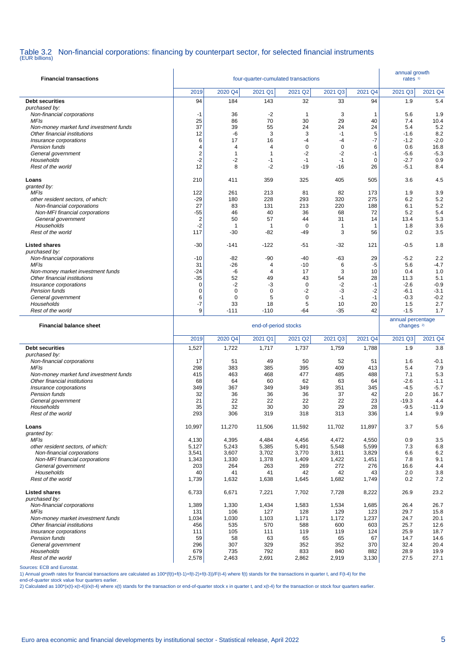### Table 3.2 Non-financial corporations: financing by counterpart sector, for selected financial instruments (EUR billions)

| <b>Financial transactions</b>                                |                | annual growth<br>rates <sup>1)</sup> |                                |                    |                        |                |                       |                |
|--------------------------------------------------------------|----------------|--------------------------------------|--------------------------------|--------------------|------------------------|----------------|-----------------------|----------------|
|                                                              | 2019           | 2020 Q4                              | 2021 Q1                        | 2021 Q2            | 2021<br>Q <sub>3</sub> | 2021 Q4        | 2021 Q3               | 2021 Q4        |
| <b>Debt securities</b>                                       | 94             | 184                                  | 143                            | 32                 | 33                     | 94             | 1.9                   | 5.4            |
| purchased by:                                                |                |                                      |                                |                    |                        |                |                       |                |
| Non-financial corporations<br><b>MFIs</b>                    | $-1$<br>25     | 36<br>86                             | $-2$<br>70                     | $\mathbf{1}$<br>30 | 3<br>29                | 1<br>40        | 5.6<br>7.4            | 1.9<br>10.4    |
| Non-money market fund investment funds                       | 37             | 39                                   | 55                             | 24                 | 24                     | 24             | 5.4                   | 5.2            |
| Other financial institutions                                 | 12             | -6                                   | 3                              | 3                  | $-1$                   | 5              | $-1.6$                | 8.2            |
| Insurance corporations                                       | 6              | 17                                   | 16                             | $-4$               | -4                     | $-7$           | $-1.2$                | $-2.0$         |
| Pension funds<br>General government                          | 4<br>2         | 4<br>1                               | $\overline{4}$<br>$\mathbf{1}$ | 0<br>$-2$          | $\mathbf 0$<br>$-2$    | 6<br>$-1$      | 0.6<br>$-5.6$         | 16.8<br>$-5.3$ |
| Households                                                   | -2             | -2                                   | $-1$                           | $-1$               | $-1$                   | 0              | $-2.7$                | 0.9            |
| Rest of the world                                            | 12             | 8                                    | $-2$                           | $-19$              | $-16$                  | 26             | $-5.1$                | 8.4            |
| Loans                                                        | 210            | 411                                  | 359                            | 325                | 405                    | 505            | 3.6                   | 4.5            |
| granted by:                                                  |                |                                      |                                |                    |                        |                |                       |                |
| MFIs                                                         | 122            | 261                                  | 213                            | 81                 | 82                     | 173            | 1.9                   | 3.9            |
| other resident sectors, of which:                            | $-29$          | 180                                  | 228                            | 293                | 320                    | 275            | 6.2<br>6.1            | 5.2            |
| Non-financial corporations<br>Non-MFI financial corporations | 27<br>-55      | 83<br>46                             | 131<br>40                      | 213<br>36          | 220<br>68              | 188<br>72      | 5.2                   | 5.2<br>5.4     |
| General government                                           | $\overline{2}$ | 50                                   | 57                             | 44                 | 31                     | 14             | 13.4                  | 5.3            |
| Households                                                   | $-2$           | $\mathbf 1$                          | 1                              | 0                  | $\mathbf{1}$           | $\mathbf 1$    | 1.8                   | 3.6            |
| Rest of the world                                            | 117            | -30                                  | -82                            | -49                | 3                      | 56             | 0.2                   | 3.5            |
| <b>Listed shares</b>                                         | $-30$          | -141                                 | $-122$                         | $-51$              | -32                    | 121            | $-0.5$                | 1.8            |
| purchased by:                                                |                |                                      |                                |                    |                        |                |                       |                |
| Non-financial corporations                                   | $-10$          | -82                                  | $-90$                          | $-40$              | -63                    | 29             | $-5.2$                | 2.2            |
| <b>MFIs</b><br>Non-money market investment funds             | 31<br>-24      | $-26$<br>-6                          | 4<br>$\overline{4}$            | $-10$<br>17        | 6<br>3                 | $-5$<br>10     | 5.6<br>0.4            | $-4.7$<br>1.0  |
| Other financial institutions                                 | -35            | 52                                   | 49                             | 43                 | 54                     | 28             | 11.3                  | 5.1            |
| Insurance corporations                                       | 0              | $-2$                                 | -3                             | $\mathbf 0$        | -2                     | $-1$           | $-2.6$                | $-0.9$         |
| Pension funds                                                | 0              | $\mathbf 0$                          | $\mathbf 0$                    | $-2$               | -3                     | $-2$           | $-6.1$                | $-3.1$         |
| General government                                           | 6              | 0                                    | 5                              | 0                  | $-1$                   | $-1$           | $-0.3$                | $-0.2$         |
| Households<br>Rest of the world                              | -7<br>9        | 33<br>$-111$                         | 18<br>$-110$                   | 5<br>$-64$         | 10<br>$-35$            | 20<br>42       | 1.5<br>$-1.5$         | 2.7<br>1.7     |
|                                                              |                |                                      |                                |                    |                        |                |                       |                |
|                                                              |                |                                      |                                |                    |                        |                | annual percentage     |                |
| <b>Financial balance sheet</b>                               |                |                                      | end-of-period stocks           |                    |                        |                | changes <sup>2)</sup> |                |
|                                                              | 2019           | 2020 Q4                              | 2021 Q1                        | 2021 Q2            | 2021 Q3                | 2021 Q4        | 2021 Q3               | 2021 Q4        |
| <b>Debt securities</b>                                       | 1,527          | 1,722                                | 1,717                          | 1,737              | 1,759                  | 1,788          | 1.9                   | 3.8            |
| purchased by:                                                |                |                                      | 49                             | 50                 |                        |                | 1.6                   |                |
| Non-financial corporations<br><b>MFIs</b>                    | 17<br>298      | 51<br>383                            | 385                            | 395                | 52<br>409              | 51<br>413      | 5.4                   | $-0.1$<br>7.9  |
| Non-money market fund investment funds                       | 415            | 463                                  | 468                            | 477                | 485                    | 488            | 7.1                   | 5.3            |
| Other financial institutions                                 | 68             | 64                                   | 60                             | 62                 | 63                     | 64             | $-2.6$                | $-1.1$         |
| Insurance corporations                                       | 349            | 367                                  | 349                            | 349                | 351                    | 345            | $-4.5$                | $-5.7$         |
| Pension funds<br>General government                          | 32<br>21       | 36<br>22                             | 36<br>22                       | 36<br>22           | 37<br>22               | 42<br>23       | 2.0<br>$-19.3$        | 16.7<br>4.4    |
| Households                                                   | 35             | 32                                   | 30                             | 30                 | 29                     | 28             | $-9.5$                | $-11.9$        |
| Rest of the world                                            | 293            | 306                                  | 319                            | 318                | 313                    | 336            | 1.4                   | 9.9            |
| Loans                                                        | 10,997         | 11,270                               | 11,506                         | 11,592             | 11,702                 | 11,897         | 3.7                   | 5.6            |
| granted by:                                                  |                |                                      |                                |                    |                        |                |                       |                |
| <b>MFIs</b>                                                  | 4,130          | 4,395                                | 4,484                          | 4,456              | 4,472                  | 4,550          | 0.9                   | 3.5            |
| other resident sectors, of which:                            | 5,127          | 5,243                                | 5,385                          | 5,491              | 5,548                  | 5,599          | 7.3                   | 6.8            |
| Non-financial corporations<br>Non-MFI financial corporations | 3,541          | 3,607                                | 3,702                          | 3,770<br>1,409     | 3,811<br>1,422         | 3,829<br>1,451 | 6.6<br>7.8            | 6.2<br>9.1     |
| General government                                           | 1,343<br>203   | 1,330<br>264                         | 1,378<br>263                   | 269                | 272                    | 276            | 16.6                  | 4.4            |
| Households                                                   | 40             | 41                                   | 41                             | 42                 | 42                     | 43             | 2.0                   | 3.8            |
| Rest of the world                                            | 1,739          | 1,632                                | 1,638                          | 1,645              | 1,682                  | 1,749          | 0.2                   | 7.2            |
| <b>Listed shares</b>                                         | 6,733          | 6,671                                | 7,221                          | 7,702              | 7,728                  | 8,222          | 26.9                  | 23.2           |
| purchased by:<br>Non-financial corporations                  | 1,389          | 1,330                                | 1,434                          | 1,583              | 1,534                  | 1,685          | 26.4                  | 26.7           |
| MFIs                                                         | 131            | 106                                  | 127                            | 128                | 129                    | 123            | 29.7                  | 15.8           |
| Non-money market investment funds                            | 1,034          | 1,030                                | 1,103                          | 1,171              | 1,172                  | 1,237          | 24.7                  | 20.1           |
| Other financial institutions                                 | 456            | 535                                  | 570                            | 588                | 600                    | 603            | 25.7                  | 12.6           |
| Insurance corporations<br>Pension funds                      | 111<br>59      | 105<br>58                            | 111<br>63                      | 119<br>65          | 119<br>65              | 124<br>67      | 25.9<br>14.7          | 18.7<br>14.6   |
| General government                                           | 296            | 307                                  | 329                            | 352                | 352                    | 370            | 32.4                  | 20.4           |
| Households<br>Rest of the world                              | 679<br>2,578   | 735<br>2,463                         | 792<br>2,691                   | 833<br>2,862       | 840<br>2,919           | 882<br>3,130   | 28.9<br>27.5          | 19.9<br>27.1   |

#### Sources: ECB and Eurostat.

1) Annual growth rates for financial transactions are calculated as 100\*(f(t)+f(t-1)+f(t-2)+f(t-3))/F(t-4) where f(t) stands for the transactions in quarter t, and F(t-4) for the

end-of-quarter stock value four quarters earlier.<br>2) Calculated as 100\*(x(t)-x(t-4))/x(t-4) where x(t) stands for the transaction or end-of-quarter stock x in quarter t, and x(t-4) for the transaction or stock four quarter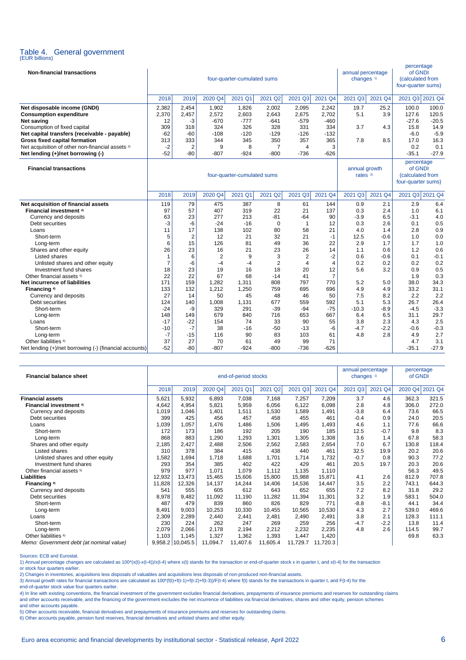# Table 4. General government (EUR billions)

| <b>Non-financial transactions</b>                           |                |                |                             | four-quarter-cumulated sums                                     |                | annual percentage<br>changes <sup>1)</sup> |                | percentage<br>of GNDI<br>(calculated from<br>four-quarter sums) |         |                 |         |
|-------------------------------------------------------------|----------------|----------------|-----------------------------|-----------------------------------------------------------------|----------------|--------------------------------------------|----------------|-----------------------------------------------------------------|---------|-----------------|---------|
|                                                             | 2018           | 2019           | 2020 Q4                     | 2021 Q1                                                         | 2021 Q2        | 2021 Q3                                    | 2021 Q4        | 2021 Q3                                                         | 2021 Q4 | 2021 Q3 2021 Q4 |         |
| Net disposable income (GNDI)                                | 2,382          | 2,454          | 1,902                       | 1,826                                                           | 2,002          | 2,095                                      | 2,242          | 19.7                                                            | 25.2    | 100.0           | 100.0   |
| <b>Consumption expenditure</b>                              | 2,370          | 2,457          | 2,572                       | 2,603                                                           | 2,643          | 2,675                                      | 2,702          | 5.1                                                             | 3.9     | 127.6           | 120.5   |
| Net saving                                                  | 12             | -3             | $-670$                      | $-777$                                                          | $-641$         | $-579$                                     | $-460$         |                                                                 |         | $-27.6$         | $-20.5$ |
| Consumption of fixed capital                                | 309            | 318            | 324                         | 326                                                             | 328            | 331                                        | 334            | 3.7                                                             | 4.3     | 15.8            | 14.9    |
| Net capital transfers (receivable - payable)                | $-62$          | $-60$          | $-108$                      | $-120$                                                          | $-129$         | $-126$                                     | $-132$         |                                                                 |         | $-6.0$          | $-5.9$  |
| Gross fixed capital formation                               | 313            | 333            | 344                         | 345                                                             | 350            | 357                                        | 365            | 7.8                                                             | 8.5     | 17.0            | 16.3    |
| Net acquisition of other non-financial assets <sup>2)</sup> | $-2$           | $\overline{2}$ | 9                           | 8                                                               | 7              | $\overline{4}$                             | 3              |                                                                 |         | 0.2             | 0.1     |
| Net lending (+)/net borrowing (-)                           | $-52$          | $-80$          | $-807$                      | $-924$                                                          | -800           | $-736$                                     | $-626$         |                                                                 |         | $-35.1$         | $-27.9$ |
| <b>Financial transactions</b>                               |                |                | annual growth<br>rates $3)$ | percentage<br>of GNDI<br>(calculated from<br>four-quarter sums) |                |                                            |                |                                                                 |         |                 |         |
|                                                             | 2018           | 2019           | 2020 Q4                     | 2021 Q1                                                         | 2021 Q2        | 2021 Q3                                    | 2021 Q4        | 2021 Q3                                                         | 2021 Q4 | 2021 Q3 2021 Q4 |         |
| Net acquisition of financial assets                         | 119            | 79             | 475                         | 387                                                             | 8              | 61                                         | 144            | 0.9                                                             | 2.1     | 2.9             | 6.4     |
| <b>Financial investment 4)</b>                              | 97             | 57             | 407                         | 319                                                             | 22             | 21                                         | 137            | 0.3                                                             | 2.4     | 1.0             | 6.1     |
| Currency and deposits                                       | 63             | 23             | 277                         | 213                                                             | -81            | -64                                        | 90             | $-3.9$                                                          | 6.5     | $-3.1$          | 4.0     |
| Debt securities                                             | -3             | -6             | $-24$                       | $-16$                                                           | $\Omega$       | $\mathbf{1}$                               | 12             | 0.3                                                             | 2.6     | 0.1             | 0.5     |
| Loans                                                       | 11             | 17             | 138                         | 102                                                             | 80             | 58                                         | 21             | 4.0                                                             | 1.4     | 2.8             | 0.9     |
| Short-term                                                  | 5              | $\overline{2}$ | 12                          | 21                                                              | 32             | 21                                         | $-1$           | 12.5                                                            | $-0.6$  | 1.0             | 0.0     |
| Long-term                                                   | 6              | 15             | 126                         | 81                                                              | 49             | 36                                         | 22             | 2.9                                                             | 1.7     | 1.7             | 1.0     |
| Shares and other equity                                     | 26             | 23             | 16                          | 21                                                              | 23             | 26                                         | 14             | 1.1                                                             | 0.6     | 1.2             | 0.6     |
| Listed shares                                               | $\overline{1}$ | 6              | $\overline{2}$              | 9                                                               | 3              | $\overline{2}$                             | $-2$           | 0.6                                                             | $-0.6$  | 0.1             | $-0.1$  |
| Unlisted shares and other equity                            | $\overline{7}$ | -6             | $-4$                        | $-4$                                                            | $\overline{2}$ | $\overline{4}$                             | $\overline{4}$ | 0.2                                                             | 0.2     | 0.2             | 0.2     |
| Investment fund shares                                      | 18             | 23             | 19                          | 16                                                              | 18             | 20                                         | 12             | 5.6                                                             | 3.2     | 0.9             | 0.5     |
| Other financial assets 5)                                   | 22             | 22             | 67                          | 68                                                              | $-14$          | 41                                         | $\overline{7}$ |                                                                 |         | 1.9             | 0.3     |
| Net incurrence of liabilities                               | 171            | 159            | 1,282                       | 1,311                                                           | 808            | 797                                        | 770            | 5.2                                                             | 5.0     | 38.0            | 34.3    |
| Financing <sup>4)</sup>                                     | 133            | 132            | 1,212                       | 1,250                                                           | 759            | 695                                        | 696            | 4.9                                                             | 4.9     | 33.2            | 31.1    |
| Currency and deposits                                       | 27             | 14             | 50                          | 45                                                              | 48             | 46                                         | 50             | 7.5                                                             | 8.2     | 2.2             | 2.2     |
| Debt securities                                             | 124            | 140            | 1,008                       | 1,131                                                           | 677            | 559                                        | 592            | 5.1                                                             | 5.3     | 26.7            | 26.4    |
| Short-term                                                  | $-24$          | -9             | 329                         | 291                                                             | $-39$          | $-94$                                      | $-75$          | $-10.3$                                                         | $-8.9$  | $-4.5$          | $-3.3$  |
| Long-term                                                   | 148            | 149            | 679                         | 840                                                             | 716            | 653                                        | 667            | 6.4                                                             | 6.5     | 31.1            | 29.7    |
| Loans                                                       | $-17$          | $-22$          | 154                         | 74                                                              | 33             | 90                                         | 55             | 3.8                                                             | 2.3     | 4.3             | 2.5     |
| Short-term                                                  | $-10$          | $-7$           | 38                          | $-16$                                                           | -50            | $-13$                                      | -6             | $-4.7$                                                          | $-2.2$  | $-0.6$          | $-0.3$  |
| Long-term                                                   | $-7$           | $-15$          | 116                         | 90                                                              | 83             | 103                                        | 61             | 4.8                                                             | 2.8     | 4.9             | 2.7     |
| Other liabilities <sup>6)</sup>                             | 37             | 27             | 70                          | 61                                                              | 49             | 99                                         | 71             |                                                                 |         | 4.7             | 3.1     |
| Net lending (+)/net borrowing (-) (financial accounts)      | $-52$          | $-80$          | $-807$                      | $-924$                                                          | $-800$         | $-736$                                     | $-626$         |                                                                 |         | $-35.1$         | $-27.9$ |

| <b>Financial balance sheet</b>           |        | end-of-period stocks |          |          |          | annual percentage<br>changes <sup>1)</sup> |          | percentage<br>of GNDI |        |       |       |
|------------------------------------------|--------|----------------------|----------|----------|----------|--------------------------------------------|----------|-----------------------|--------|-------|-------|
|                                          | 2018   | 2019                 | 2020 Q4  | 2021 Q1  | 2021 Q3  | 2021 Q4                                    | 2020 Q4  | 2021 Q4               |        |       |       |
| <b>Financial assets</b>                  | 5,621  | 5,932                | 6,893    | 7,038    | 7,168    | 7,257                                      | 7,209    | 3.7                   | 4.6    | 362.3 | 321.5 |
| Financial investment <sup>4)</sup>       | 4,642  | 4,954                | 5,821    | 5,959    | 6,056    | 6,122                                      | 6,098    | 2.8                   | 4.8    | 306.0 | 272.0 |
| Currency and deposits                    | 1,019  | 1,046                | 1,401    | 1,511    | 1,530    | 1,589                                      | 1,491    | $-3.8$                | 6.4    | 73.6  | 66.5  |
| Debt securities                          | 399    | 425                  | 456      | 457      | 458      | 455                                        | 461      | $-0.4$                | 0.9    | 24.0  | 20.5  |
| Loans                                    | 1,039  | 1,057                | 1,476    | 1,486    | 1,506    | 1,495                                      | 1,493    | 4.6                   | 1.1    | 77.6  | 66.6  |
| Short-term                               | 172    | 173                  | 186      | 192      | 205      | 190                                        | 185      | 12.5                  | $-0.7$ | 9.8   | 8.3   |
| Long-term                                | 868    | 883                  | 1,290    | 1,293    | 1,301    | 1,305                                      | 1,308    | 3.6                   | 1.4    | 67.8  | 58.3  |
| Shares and other equity                  | 2,185  | 2,427                | 2,488    | 2,506    | 2,562    | 2,583                                      | 2,654    | 7.0                   | 6.7    | 130.8 | 118.4 |
| Listed shares                            | 310    | 378                  | 384      | 415      | 438      | 440                                        | 461      | 32.5                  | 19.9   | 20.2  | 20.6  |
| Unlisted shares and other equity         | .582   | 1,694                | 1,718    | 1,688    | 1,701    | 1,714                                      | 1,732    | $-0.7$                | 0.8    | 90.3  | 77.2  |
| Investment fund shares                   | 293    | 354                  | 385      | 402      | 422      | 429                                        | 461      | 20.5                  | 19.7   | 20.3  | 20.6  |
| Other financial assets 5)                | 979    | 977                  | 1,071    | 1,079    | 1,112    | 1,135                                      | 1,110    |                       |        | 56.3  | 49.5  |
| <b>Liabilities</b>                       | 12,932 | 13,473               | 15,465   | 15,606   | 15,800   | 15,988                                     | 15,871   | 4.1                   | 2.6    | 812.9 | 707.8 |
| Financing 4)                             | 11,828 | 12,326               | 14,137   | 14,244   | 14,406   | 14,536                                     | 14,447   | 3.5                   | 2.2    | 743.1 | 644.3 |
| Currency and deposits                    | 541    | 555                  | 605      | 612      | 643      | 652                                        | 655      | 7.2                   | 8.2    | 31.8  | 29.2  |
| Debt securities                          | 8,978  | 9,482                | 11,092   | 11,190   | 11,282   | 11,394                                     | 11,301   | 3.2                   | 1.9    | 583.1 | 504.0 |
| Short-term                               | 487    | 479                  | 839      | 860      | 826      | 829                                        | 771      | $-8.8$                | $-8.1$ | 44.1  | 34.4  |
| Long-term                                | 8,491  | 9,003                | 10,253   | 10,330   | 10,455   | 10,565                                     | 10,530   | 4.3                   | 2.7    | 539.0 | 469.6 |
| Loans                                    | 2,309  | 2,289                | 2,440    | 2,441    | 2,481    | 2,490                                      | 2,491    | 3.8                   | 2.1    | 128.3 | 111.1 |
| Short-term                               | 230    | 224                  | 262      | 247      | 269      | 259                                        | 256      | $-4.7$                | $-2.2$ | 13.8  | 11.4  |
| Long-term                                | 2,079  | 2,066                | 2,178    | 2,194    | 2,212    | 2,232                                      | 2,235    | 4.8                   | 2.6    | 114.5 | 99.7  |
| Other liabilities <sup>6)</sup>          | 1,103  | 1,145                | 1,327    | 1,362    | 1,393    | 1,447                                      | 1,420    |                       |        | 69.8  | 63.3  |
| Memo: Government debt (at nominal value) |        | 9,958.2 10,045.5     | 11,094.7 | 11,407.6 | 11,605.4 | 11,729.7                                   | 11,720.3 |                       |        |       |       |

l

Sources: ECB and Eurostat.

1) Annual percentage changes are calculated as 100\*(x(t)-x(t-4))/x(t-4) where x(t) stands for the transaction or end-of-quarter stock x in quarter t, and x(t-4) for the transaction 1) Annual percentage changes are calculat or stock four quarters earlier.

2) Changes in inventories, acquisitions less disposals of valuables and acquisitions less disposals of non-produced non-financial assets. 3) Annual growth rates for financial transactions are calculated as 100\*(f(t)+f(t-1)+f(t-2)+f(t-3)/F(t-4) where f(t) stands for the transactions in quarter t, and F(t-4) for the

end-of-quarter stock value four quarters earlier.

4) In line with existing conventions, the financial investment of the government excludes financial derivatives, prepayments of insurance premiums and reserves for outstanding claims and other accounts receivable, and the financing of the government excludes the net incurrence of liabilities via financial derivatives, shares and other equity, pension schemes and other accounts payable.

5) Other accounts receivable, financial derivatives and prepayments of insurance premiums and reserves for outstanding claims.

6) Other accounts payable, pension fund reserves, financial derivatives and unlisted shares and other equity.